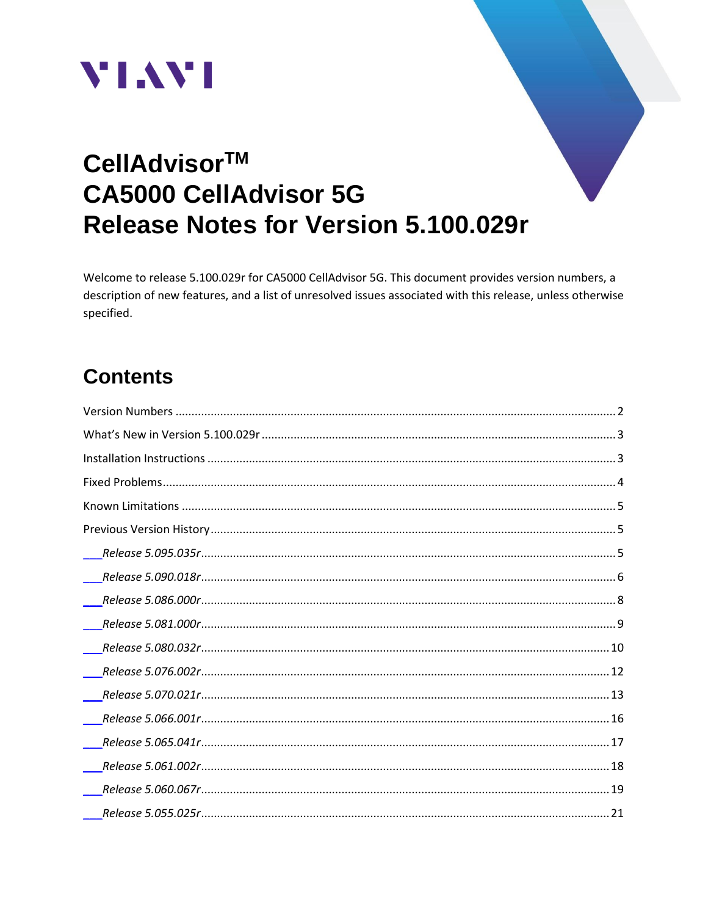



# CellAdvisor™ **CA5000 CellAdvisor 5G** Release Notes for Version 5.100.029r

Welcome to release 5.100.029r for CA5000 CellAdvisor 5G. This document provides version numbers, a description of new features, and a list of unresolved issues associated with this release, unless otherwise specified.

# **Contents**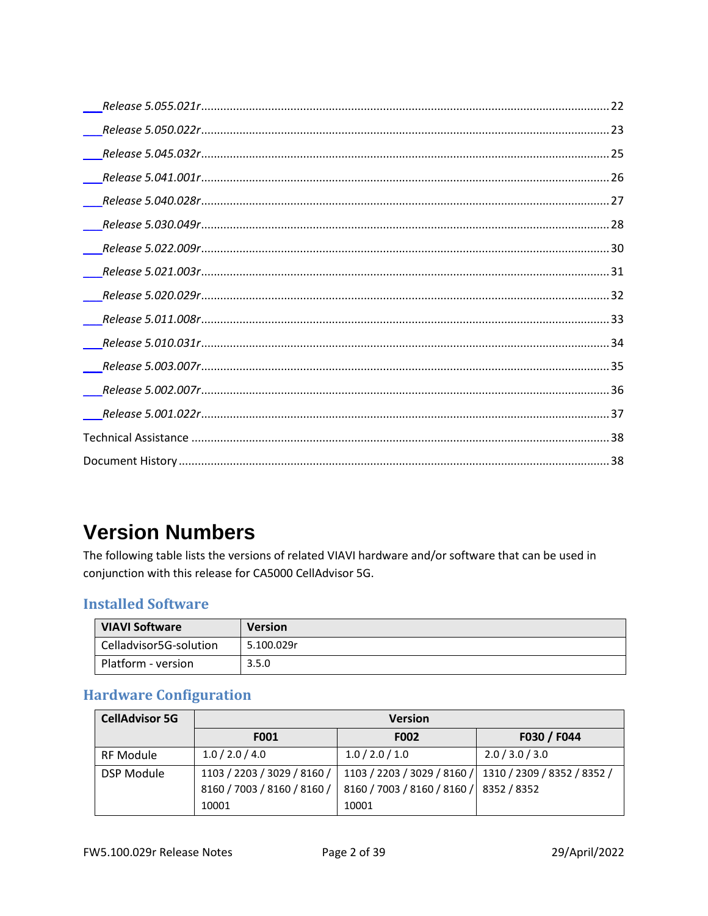# <span id="page-1-0"></span>**Version Numbers**

The following table lists the versions of related VIAVI hardware and/or software that can be used in conjunction with this release for CA5000 CellAdvisor 5G.

#### **Installed Software**

| <b>VIAVI Software</b>  | <b>Version</b> |
|------------------------|----------------|
| Celladvisor5G-solution | 5.100.029r     |
| Platform - version     | 3.5.0          |

#### **Hardware Configuration**

| <b>CellAdvisor 5G</b> | <b>Version</b>              |                             |                                                         |
|-----------------------|-----------------------------|-----------------------------|---------------------------------------------------------|
|                       | F001                        | F002                        | F030 / F044                                             |
| <b>RF Module</b>      | 1.0 / 2.0 / 4.0             | 1.0 / 2.0 / 1.0             | 2.0 / 3.0 / 3.0                                         |
| <b>DSP Module</b>     | 1103 / 2203 / 3029 / 8160 / |                             | 1103 / 2203 / 3029 / 8160 / 1310 / 2309 / 8352 / 8352 / |
|                       | 8160 / 7003 / 8160 / 8160 / | 8160 / 7003 / 8160 / 8160 / | 8352 / 8352                                             |
|                       | 10001                       | 10001                       |                                                         |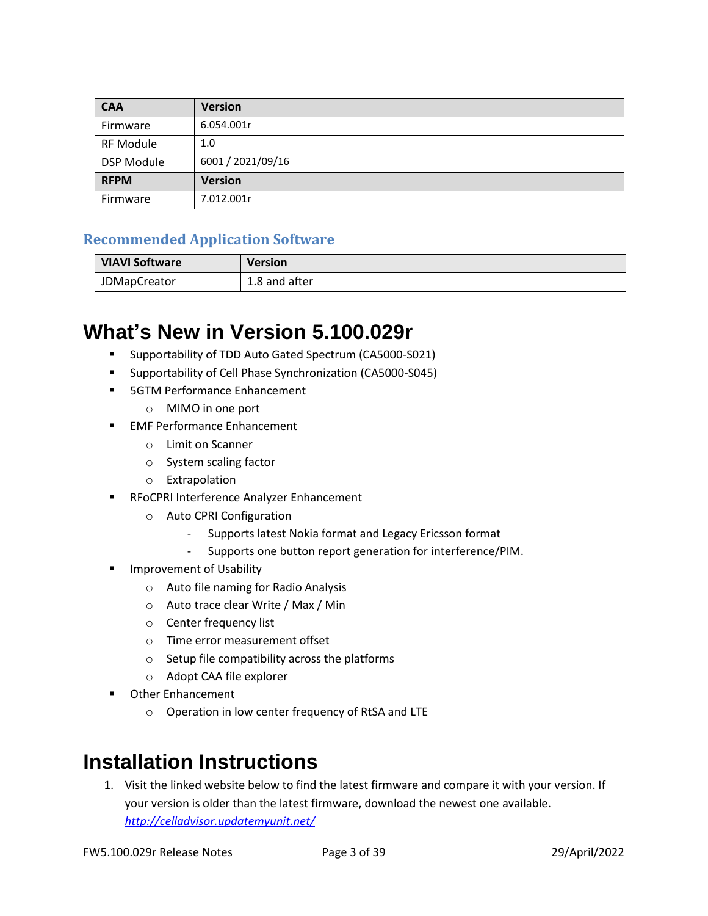| <b>CAA</b>        | <b>Version</b>    |
|-------------------|-------------------|
| Firmware          | 6.054.001r        |
| <b>RF Module</b>  | 1.0               |
| <b>DSP Module</b> | 6001 / 2021/09/16 |
| <b>RFPM</b>       | <b>Version</b>    |
| Firmware          | 7.012.001r        |

#### **Recommended Application Software**

| <b>VIAVI Software</b> | <b>Version</b> |
|-----------------------|----------------|
| <b>JDMapCreator</b>   | 1.8 and after  |

### <span id="page-2-0"></span>**What's New in Version 5.100.029r**

- Supportability of TDD Auto Gated Spectrum (CA5000-S021)
- Supportability of Cell Phase Synchronization (CA5000-S045)
- 5GTM Performance Enhancement
	- o MIMO in one port
- EMF Performance Enhancement
	- o Limit on Scanner
	- o System scaling factor
	- o Extrapolation
- RFoCPRI Interference Analyzer Enhancement
	- o Auto CPRI Configuration
		- Supports latest Nokia format and Legacy Ericsson format
		- Supports one button report generation for interference/PIM.
- Improvement of Usability
	- o Auto file naming for Radio Analysis
	- o Auto trace clear Write / Max / Min
	- o Center frequency list
	- o Time error measurement offset
	- o Setup file compatibility across the platforms
	- o Adopt CAA file explorer
- **Other Enhancement** 
	- o Operation in low center frequency of RtSA and LTE

## <span id="page-2-1"></span>**Installation Instructions**

1. Visit the linked website below to find the latest firmware and compare it with your version. If your version is older than the latest firmware, download the newest one available. *<http://celladvisor.updatemyunit.net/>*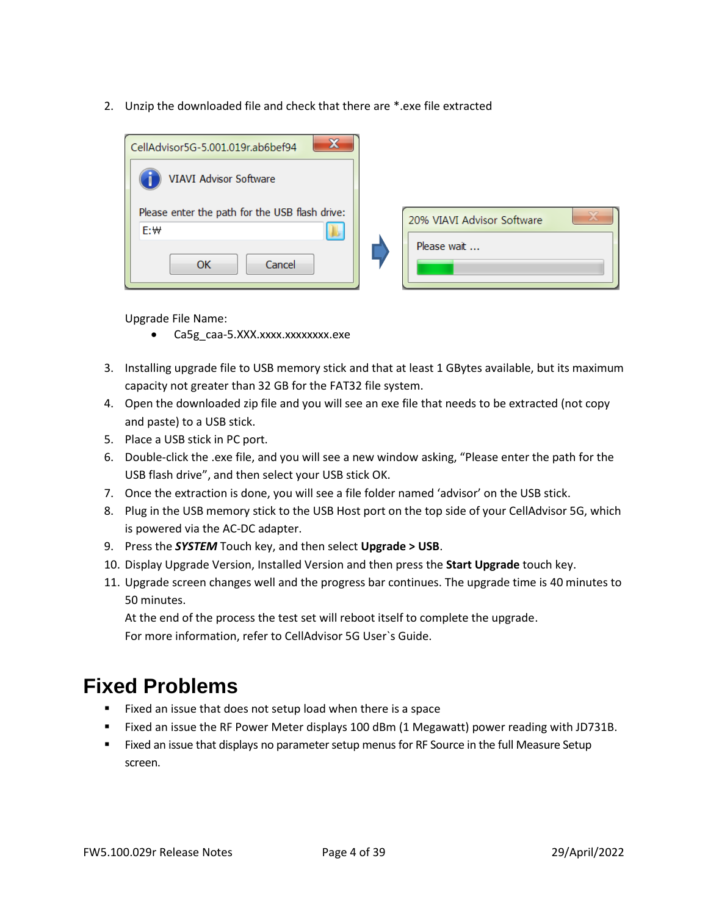2. Unzip the downloaded file and check that there are \*.exe file extracted



Upgrade File Name:

- Ca5g\_caa-5.XXX.xxxx.xxxxxxx.exe
- 3. Installing upgrade file to USB memory stick and that at least 1 GBytes available, but its maximum capacity not greater than 32 GB for the FAT32 file system.
- 4. Open the downloaded zip file and you will see an exe file that needs to be extracted (not copy and paste) to a USB stick.
- 5. Place a USB stick in PC port.
- 6. Double-click the .exe file, and you will see a new window asking, "Please enter the path for the USB flash drive", and then select your USB stick OK.
- 7. Once the extraction is done, you will see a file folder named 'advisor' on the USB stick.
- 8. Plug in the USB memory stick to the USB Host port on the top side of your CellAdvisor 5G, which is powered via the AC-DC adapter.
- 9. Press the *SYSTEM* Touch key, and then select **Upgrade > USB**.
- 10. Display Upgrade Version, Installed Version and then press the **Start Upgrade** touch key.
- 11. Upgrade screen changes well and the progress bar continues. The upgrade time is 40 minutes to 50 minutes.

At the end of the process the test set will reboot itself to complete the upgrade. For more information, refer to CellAdvisor 5G User`s Guide.

### <span id="page-3-0"></span>**Fixed Problems**

- Fixed an issue that does not setup load when there is a space
- Fixed an issue the RF Power Meter displays 100 dBm (1 Megawatt) power reading with JD731B.
- **EXECUTE:** Fixed an issue that displays no parameter setup menus for RF Source in the full Measure Setup screen.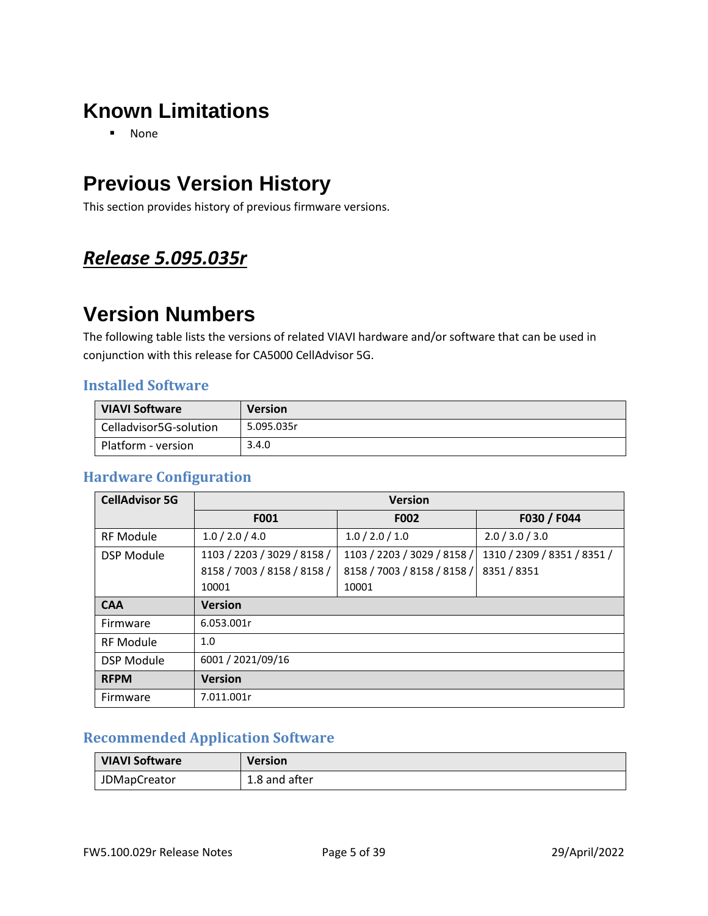# <span id="page-4-0"></span>**Known Limitations**

■ None

## <span id="page-4-1"></span>**Previous Version History**

This section provides history of previous firmware versions.

### <span id="page-4-2"></span>*Release 5.095.035r*

## **Version Numbers**

The following table lists the versions of related VIAVI hardware and/or software that can be used in conjunction with this release for CA5000 CellAdvisor 5G.

#### **Installed Software**

| <b>VIAVI Software</b>  | <b>Version</b> |
|------------------------|----------------|
| Celladvisor5G-solution | 5.095.035r     |
| Platform - version     | 3.4.0          |

#### **Hardware Configuration**

| <b>CellAdvisor 5G</b> | <b>Version</b>              |                             |                             |
|-----------------------|-----------------------------|-----------------------------|-----------------------------|
|                       | F001                        | <b>F002</b>                 | F030 / F044                 |
| <b>RF Module</b>      | 1.0 / 2.0 / 4.0             | 1.0 / 2.0 / 1.0             | 2.0 / 3.0 / 3.0             |
| <b>DSP Module</b>     | 1103 / 2203 / 3029 / 8158 / | 1103 / 2203 / 3029 / 8158 / | 1310 / 2309 / 8351 / 8351 / |
|                       | 8158 / 7003 / 8158 / 8158 / | 8158 / 7003 / 8158 / 8158 / | 8351 / 8351                 |
|                       | 10001                       | 10001                       |                             |
| <b>CAA</b>            | <b>Version</b>              |                             |                             |
| Firmware              | 6.053.001r                  |                             |                             |
| <b>RF Module</b>      | 1.0                         |                             |                             |
| <b>DSP Module</b>     | 6001 / 2021/09/16           |                             |                             |
| <b>RFPM</b>           | <b>Version</b>              |                             |                             |
| Firmware              | 7.011.001r                  |                             |                             |

#### **Recommended Application Software**

| <b>VIAVI Software</b> | Version       |
|-----------------------|---------------|
| <b>JDMapCreator</b>   | 1.8 and after |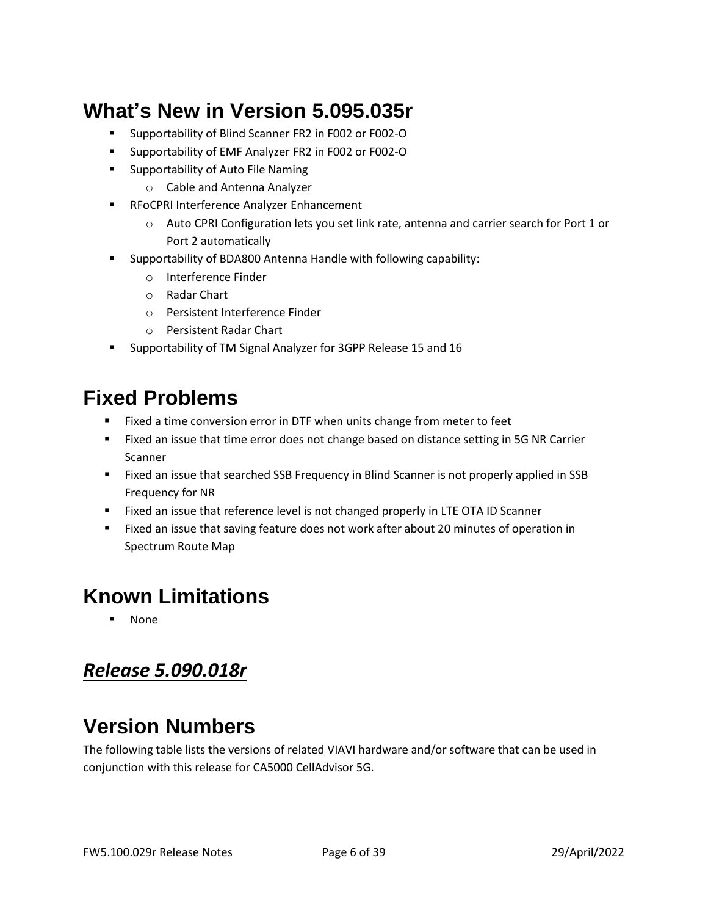# **What's New in Version 5.095.035r**

- Supportability of Blind Scanner FR2 in F002 or F002-O
- Supportability of EMF Analyzer FR2 in F002 or F002-O
- Supportability of Auto File Naming
	- o Cable and Antenna Analyzer
- RFoCPRI Interference Analyzer Enhancement
	- o Auto CPRI Configuration lets you set link rate, antenna and carrier search for Port 1 or Port 2 automatically
- Supportability of BDA800 Antenna Handle with following capability:
	- o Interference Finder
	- o Radar Chart
	- o Persistent Interference Finder
	- o Persistent Radar Chart
- Supportability of TM Signal Analyzer for 3GPP Release 15 and 16

## **Fixed Problems**

- Fixed a time conversion error in DTF when units change from meter to feet
- Fixed an issue that time error does not change based on distance setting in 5G NR Carrier Scanner
- Fixed an issue that searched SSB Frequency in Blind Scanner is not properly applied in SSB Frequency for NR
- Fixed an issue that reference level is not changed properly in LTE OTA ID Scanner
- Fixed an issue that saving feature does not work after about 20 minutes of operation in Spectrum Route Map

## **Known Limitations**

▪ None

### <span id="page-5-0"></span>*Release 5.090.018r*

# **Version Numbers**

The following table lists the versions of related VIAVI hardware and/or software that can be used in conjunction with this release for CA5000 CellAdvisor 5G.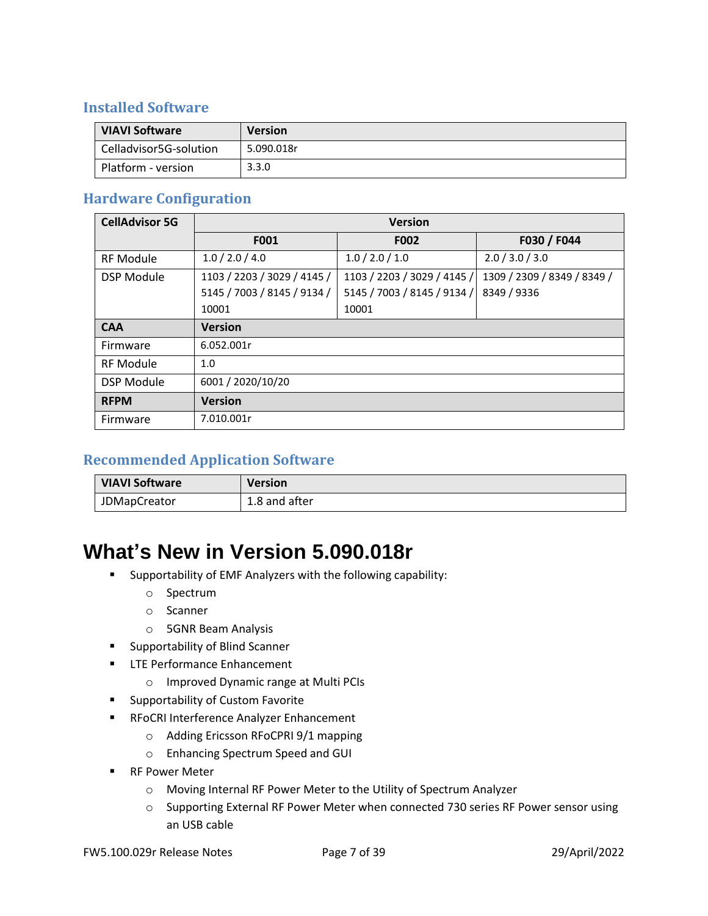#### **Installed Software**

| <b>VIAVI Software</b>  | <b>Version</b> |
|------------------------|----------------|
| Celladvisor5G-solution | 5.090.018r     |
| Platform - version     | 3.3.0          |

#### **Hardware Configuration**

| <b>CellAdvisor 5G</b> | <b>Version</b>              |                             |                             |
|-----------------------|-----------------------------|-----------------------------|-----------------------------|
|                       | F001                        | <b>F002</b>                 | F030 / F044                 |
| <b>RF Module</b>      | 1.0 / 2.0 / 4.0             | 1.0 / 2.0 / 1.0             | 2.0 / 3.0 / 3.0             |
| <b>DSP Module</b>     | 1103 / 2203 / 3029 / 4145 / | 1103 / 2203 / 3029 / 4145 / | 1309 / 2309 / 8349 / 8349 / |
|                       | 5145 / 7003 / 8145 / 9134 / | 5145 / 7003 / 8145 / 9134 / | 8349 / 9336                 |
|                       | 10001                       | 10001                       |                             |
| <b>CAA</b>            | <b>Version</b>              |                             |                             |
| Firmware              | 6.052.001r                  |                             |                             |
| <b>RF Module</b>      | 1.0                         |                             |                             |
| <b>DSP Module</b>     | 6001 / 2020/10/20           |                             |                             |
| <b>RFPM</b>           | <b>Version</b>              |                             |                             |
| Firmware              | 7.010.001r                  |                             |                             |

#### **Recommended Application Software**

| <b>VIAVI Software</b> | <b>Version</b> |
|-----------------------|----------------|
| <b>JDMapCreator</b>   | 1.8 and after  |

### **What's New in Version 5.090.018r**

- Supportability of EMF Analyzers with the following capability:
	- o Spectrum
	- o Scanner
	- o 5GNR Beam Analysis
- Supportability of Blind Scanner
- LTE Performance Enhancement
	- o Improved Dynamic range at Multi PCIs
- Supportability of Custom Favorite
- RFoCRI Interference Analyzer Enhancement
	- o Adding Ericsson RFoCPRI 9/1 mapping
	- o Enhancing Spectrum Speed and GUI
- RF Power Meter
	- o Moving Internal RF Power Meter to the Utility of Spectrum Analyzer
	- o Supporting External RF Power Meter when connected 730 series RF Power sensor using an USB cable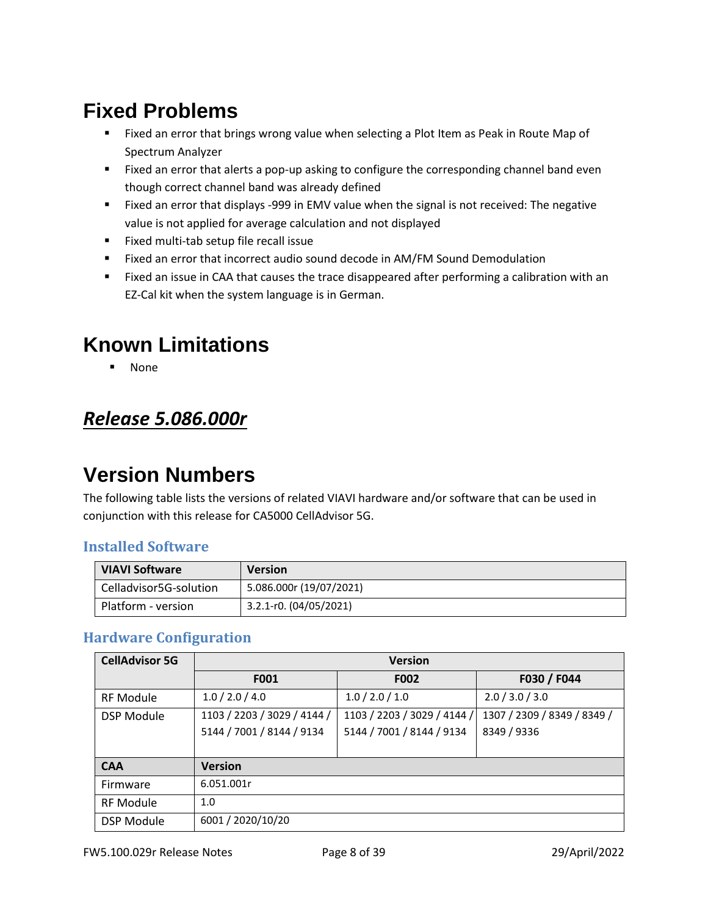- Fixed an error that brings wrong value when selecting a Plot Item as Peak in Route Map of Spectrum Analyzer
- Fixed an error that alerts a pop-up asking to configure the corresponding channel band even though correct channel band was already defined
- Fixed an error that displays -999 in EMV value when the signal is not received: The negative value is not applied for average calculation and not displayed
- Fixed multi-tab setup file recall issue
- Fixed an error that incorrect audio sound decode in AM/FM Sound Demodulation
- Fixed an issue in CAA that causes the trace disappeared after performing a calibration with an EZ-Cal kit when the system language is in German.

## **Known Limitations**

**None** 

### <span id="page-7-0"></span>*Release 5.086.000r*

### **Version Numbers**

The following table lists the versions of related VIAVI hardware and/or software that can be used in conjunction with this release for CA5000 CellAdvisor 5G.

#### **Installed Software**

| <b>VIAVI Software</b>  | <b>Version</b>          |
|------------------------|-------------------------|
| Celladvisor5G-solution | 5.086.000r (19/07/2021) |
| Platform - version     | 3.2.1-r0. (04/05/2021)  |

#### **Hardware Configuration**

| <b>CellAdvisor 5G</b> | <b>Version</b>              |                             |                             |
|-----------------------|-----------------------------|-----------------------------|-----------------------------|
|                       | F001                        | <b>F002</b>                 | F030 / F044                 |
| <b>RF Module</b>      | 1.0 / 2.0 / 4.0             | 1.0 / 2.0 / 1.0             | 2.0 / 3.0 / 3.0             |
| <b>DSP Module</b>     | 1103 / 2203 / 3029 / 4144 / | 1103 / 2203 / 3029 / 4144 / | 1307 / 2309 / 8349 / 8349 / |
|                       | 5144 / 7001 / 8144 / 9134   | 5144 / 7001 / 8144 / 9134   | 8349 / 9336                 |
|                       |                             |                             |                             |
| <b>CAA</b>            | <b>Version</b>              |                             |                             |
| Firmware              | 6.051.001r                  |                             |                             |
| <b>RF Module</b>      | 1.0                         |                             |                             |
| <b>DSP Module</b>     | 6001 / 2020/10/20           |                             |                             |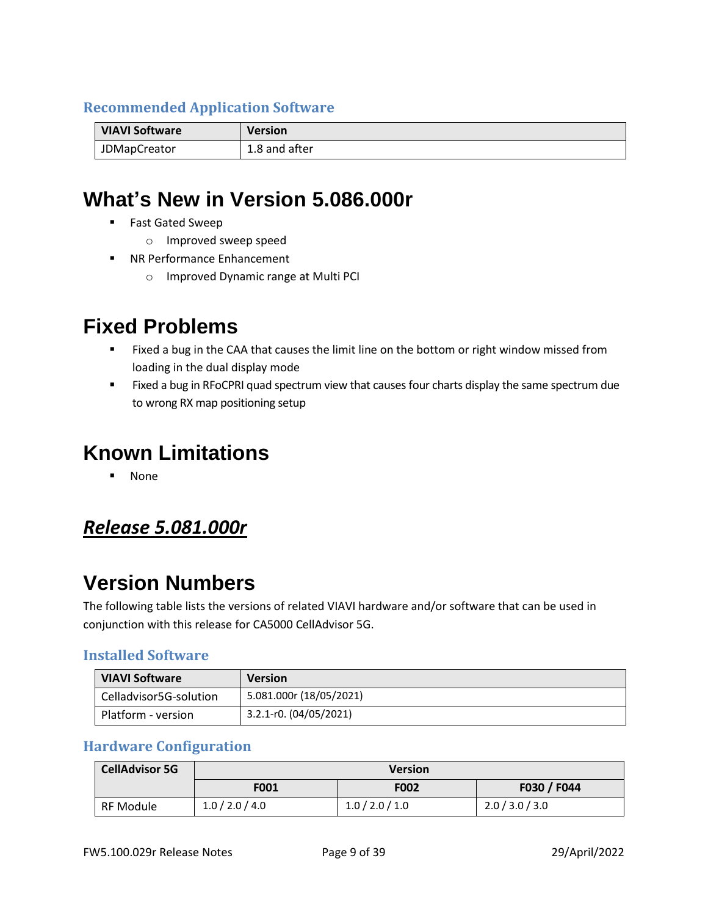#### **Recommended Application Software**

| <b>VIAVI Software</b> | <b>Version</b> |
|-----------------------|----------------|
| <b>JDMapCreator</b>   | 1.8 and after  |

### **What's New in Version 5.086.000r**

- Fast Gated Sweep
	- o Improved sweep speed
- NR Performance Enhancement
	- o Improved Dynamic range at Multi PCI

### **Fixed Problems**

- Fixed a bug in the CAA that causes the limit line on the bottom or right window missed from loading in the dual display mode
- Fixed a bug in RFoCPRI quad spectrum view that causes four charts display the same spectrum due to wrong RX map positioning setup

### **Known Limitations**

▪ None

#### <span id="page-8-0"></span>*Release 5.081.000r*

### **Version Numbers**

The following table lists the versions of related VIAVI hardware and/or software that can be used in conjunction with this release for CA5000 CellAdvisor 5G.

#### **Installed Software**

| <b>VIAVI Software</b>  | <b>Version</b>          |
|------------------------|-------------------------|
| Celladvisor5G-solution | 5.081.000r (18/05/2021) |
| Platform - version     | 3.2.1-r0. (04/05/2021)  |

#### **Hardware Configuration**

| <b>CellAdvisor 5G</b> | <b>Version</b>                     |                 |                 |  |
|-----------------------|------------------------------------|-----------------|-----------------|--|
|                       | F030 / F044<br>F002<br><b>F001</b> |                 |                 |  |
| <b>RF Module</b>      | 1.0 / 2.0 / 4.0                    | 1.0 / 2.0 / 1.0 | 2.0 / 3.0 / 3.0 |  |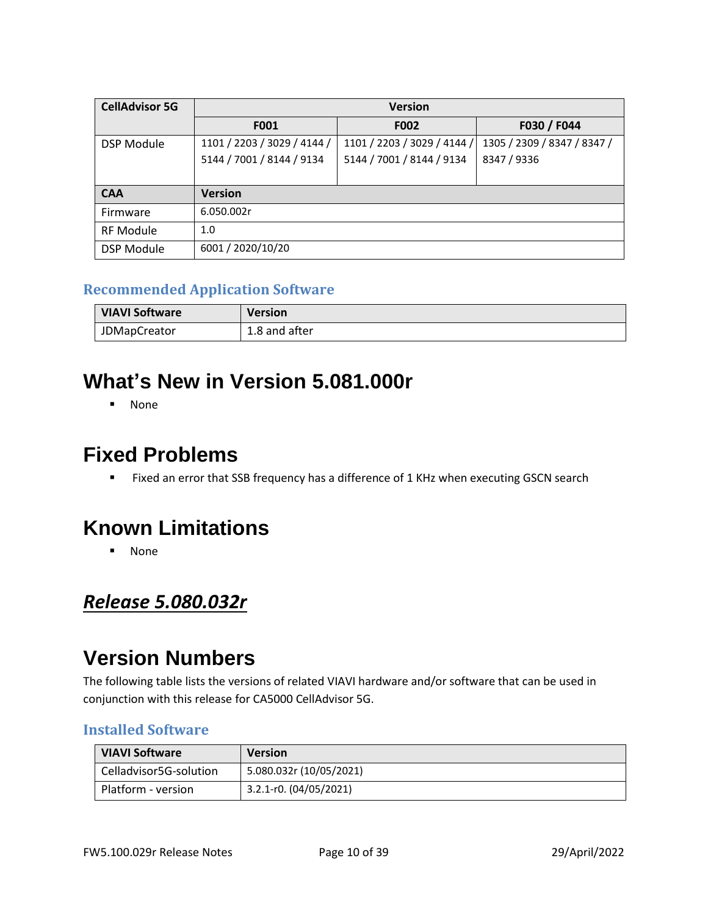| <b>CellAdvisor 5G</b> | <b>Version</b>              |                             |                             |
|-----------------------|-----------------------------|-----------------------------|-----------------------------|
|                       | F001                        | F002                        | F030 / F044                 |
| <b>DSP Module</b>     | 1101 / 2203 / 3029 / 4144 / | 1101 / 2203 / 3029 / 4144 / | 1305 / 2309 / 8347 / 8347 / |
|                       | 5144 / 7001 / 8144 / 9134   | 5144 / 7001 / 8144 / 9134   | 8347 / 9336                 |
|                       |                             |                             |                             |
| <b>CAA</b>            | <b>Version</b>              |                             |                             |
| Firmware              | 6.050.002r                  |                             |                             |
| <b>RF Module</b>      | 1.0                         |                             |                             |
| <b>DSP Module</b>     | 6001 / 2020/10/20           |                             |                             |

#### **Recommended Application Software**

| <b>VIAVI Software</b> | <b>Version</b> |
|-----------------------|----------------|
| <b>JDMapCreator</b>   | 1.8 and after  |

## **What's New in Version 5.081.000r**

▪ None

### **Fixed Problems**

■ Fixed an error that SSB frequency has a difference of 1 KHz when executing GSCN search

### **Known Limitations**

▪ None

### <span id="page-9-0"></span>*Release 5.080.032r*

### **Version Numbers**

The following table lists the versions of related VIAVI hardware and/or software that can be used in conjunction with this release for CA5000 CellAdvisor 5G.

#### **Installed Software**

| <b>VIAVI Software</b>    | <b>Version</b>          |
|--------------------------|-------------------------|
| l Celladvisor5G-solution | 5.080.032r (10/05/2021) |
| Platform - version       | 3.2.1-r0. (04/05/2021)  |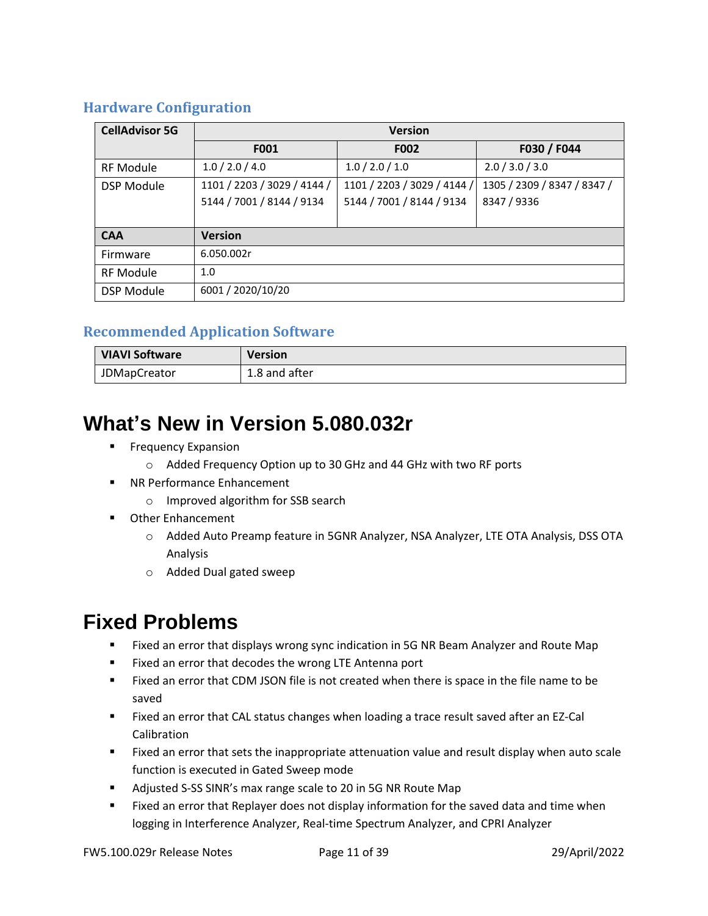#### **Hardware Configuration**

| <b>CellAdvisor 5G</b> | <b>Version</b>              |                             |                             |
|-----------------------|-----------------------------|-----------------------------|-----------------------------|
|                       | F001                        | F002                        | F030 / F044                 |
| <b>RF Module</b>      | 1.0 / 2.0 / 4.0             | 1.0 / 2.0 / 1.0             | 2.0 / 3.0 / 3.0             |
| <b>DSP Module</b>     | 1101 / 2203 / 3029 / 4144 / | 1101 / 2203 / 3029 / 4144 / | 1305 / 2309 / 8347 / 8347 / |
|                       | 5144 / 7001 / 8144 / 9134   | 5144 / 7001 / 8144 / 9134   | 8347 / 9336                 |
|                       |                             |                             |                             |
| <b>CAA</b>            | <b>Version</b>              |                             |                             |
| Firmware              | 6.050.002r                  |                             |                             |
| <b>RF Module</b>      | 1.0                         |                             |                             |
| <b>DSP Module</b>     | 6001 / 2020/10/20           |                             |                             |

#### **Recommended Application Software**

| VIAVI Software      | <b>Version</b> |
|---------------------|----------------|
| <b>JDMapCreator</b> | 1.8 and after  |

## **What's New in Version 5.080.032r**

- **EXPERIGNAL EXPANSION** 
	- o Added Frequency Option up to 30 GHz and 44 GHz with two RF ports
- NR Performance Enhancement
	- o Improved algorithm for SSB search
- Other Enhancement
	- o Added Auto Preamp feature in 5GNR Analyzer, NSA Analyzer, LTE OTA Analysis, DSS OTA Analysis
	- o Added Dual gated sweep

### **Fixed Problems**

- Fixed an error that displays wrong sync indication in 5G NR Beam Analyzer and Route Map
- Fixed an error that decodes the wrong LTE Antenna port
- Fixed an error that CDM JSON file is not created when there is space in the file name to be saved
- Fixed an error that CAL status changes when loading a trace result saved after an EZ-Cal Calibration
- Fixed an error that sets the inappropriate attenuation value and result display when auto scale function is executed in Gated Sweep mode
- Adjusted S-SS SINR's max range scale to 20 in 5G NR Route Map
- Fixed an error that Replayer does not display information for the saved data and time when logging in Interference Analyzer, Real-time Spectrum Analyzer, and CPRI Analyzer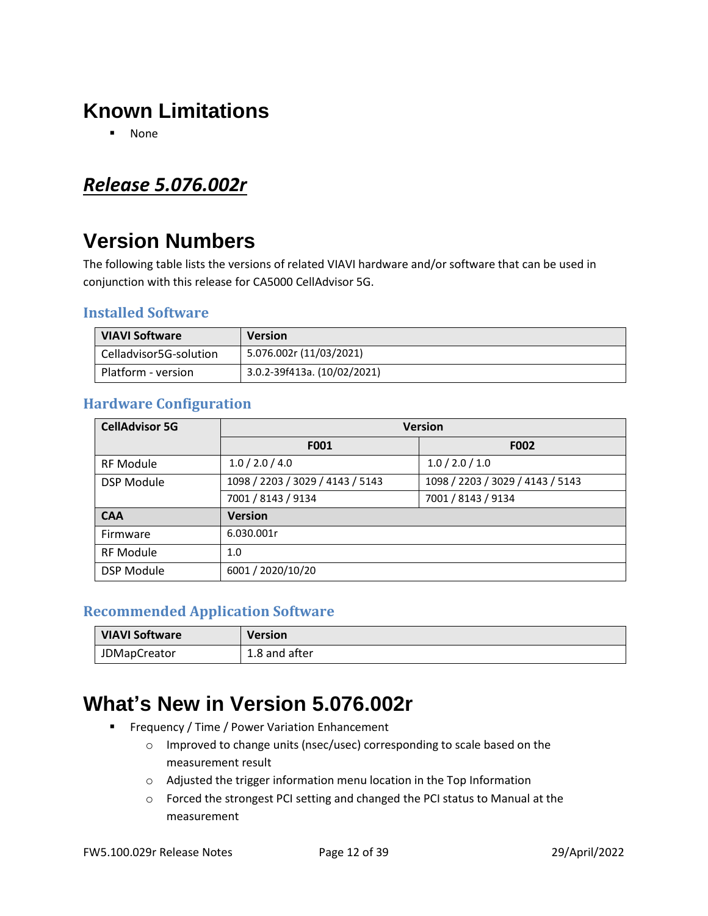## **Known Limitations**

▪ None

### <span id="page-11-0"></span>*Release 5.076.002r*

# **Version Numbers**

The following table lists the versions of related VIAVI hardware and/or software that can be used in conjunction with this release for CA5000 CellAdvisor 5G.

#### **Installed Software**

| <b>VIAVI Software</b>  | <b>Version</b>              |
|------------------------|-----------------------------|
| Celladvisor5G-solution | 5.076.002r (11/03/2021)     |
| Platform - version     | 3.0.2-39f413a. (10/02/2021) |

#### **Hardware Configuration**

| <b>CellAdvisor 5G</b> | <b>Version</b>                   |                                  |  |
|-----------------------|----------------------------------|----------------------------------|--|
|                       | F001                             | F002                             |  |
| <b>RF Module</b>      | 1.0 / 2.0 / 4.0                  | 1.0 / 2.0 / 1.0                  |  |
| <b>DSP Module</b>     | 1098 / 2203 / 3029 / 4143 / 5143 | 1098 / 2203 / 3029 / 4143 / 5143 |  |
|                       | 7001 / 8143 / 9134               | 7001 / 8143 / 9134               |  |
| <b>CAA</b>            | <b>Version</b>                   |                                  |  |
| Firmware              | 6.030.001r                       |                                  |  |
| <b>RF Module</b>      | 1.0                              |                                  |  |
| <b>DSP Module</b>     | 6001 / 2020/10/20                |                                  |  |

#### **Recommended Application Software**

| <b>VIAVI Software</b> | <b>Version</b> |
|-----------------------|----------------|
| <b>JDMapCreator</b>   | 1.8 and after  |

### **What's New in Version 5.076.002r**

- **EXECTE:** Frequency / Time / Power Variation Enhancement
	- o Improved to change units (nsec/usec) corresponding to scale based on the measurement result
	- o Adjusted the trigger information menu location in the Top Information
	- o Forced the strongest PCI setting and changed the PCI status to Manual at the measurement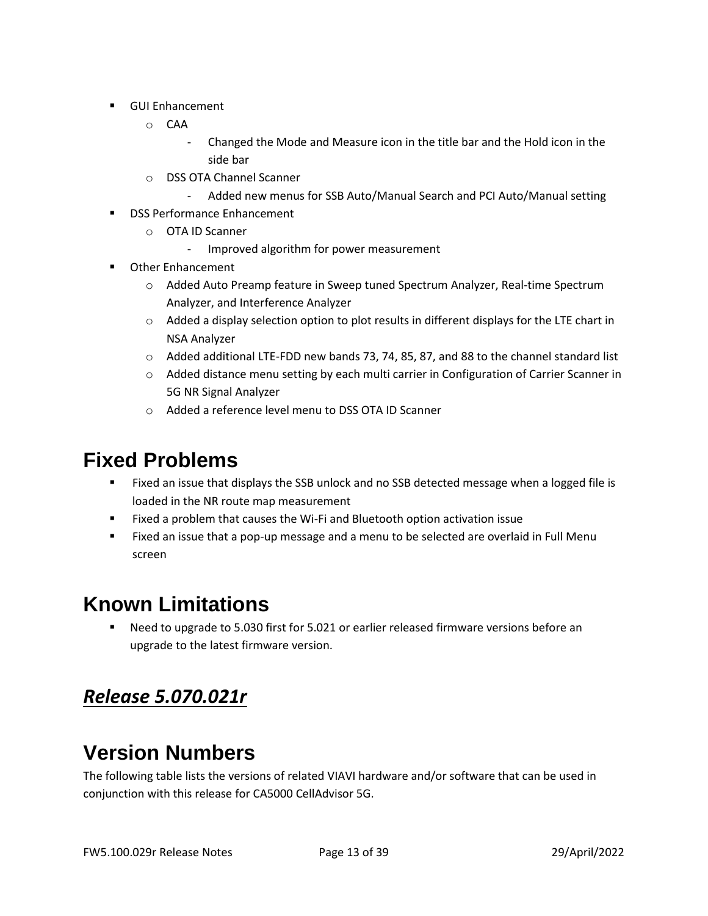- GUI Enhancement
	- o CAA
		- Changed the Mode and Measure icon in the title bar and the Hold icon in the side bar
	- o DSS OTA Channel Scanner
		- Added new menus for SSB Auto/Manual Search and PCI Auto/Manual setting
- DSS Performance Enhancement
	- o OTA ID Scanner
		- Improved algorithm for power measurement
- Other Enhancement
	- o Added Auto Preamp feature in Sweep tuned Spectrum Analyzer, Real-time Spectrum Analyzer, and Interference Analyzer
	- $\circ$  Added a display selection option to plot results in different displays for the LTE chart in NSA Analyzer
	- o Added additional LTE-FDD new bands 73, 74, 85, 87, and 88 to the channel standard list
	- o Added distance menu setting by each multi carrier in Configuration of Carrier Scanner in 5G NR Signal Analyzer
	- o Added a reference level menu to DSS OTA ID Scanner

- Fixed an issue that displays the SSB unlock and no SSB detected message when a logged file is loaded in the NR route map measurement
- Fixed a problem that causes the Wi-Fi and Bluetooth option activation issue
- Fixed an issue that a pop-up message and a menu to be selected are overlaid in Full Menu screen

## **Known Limitations**

Need to upgrade to 5.030 first for 5.021 or earlier released firmware versions before an upgrade to the latest firmware version.

### <span id="page-12-0"></span>*Release 5.070.021r*

## **Version Numbers**

The following table lists the versions of related VIAVI hardware and/or software that can be used in conjunction with this release for CA5000 CellAdvisor 5G.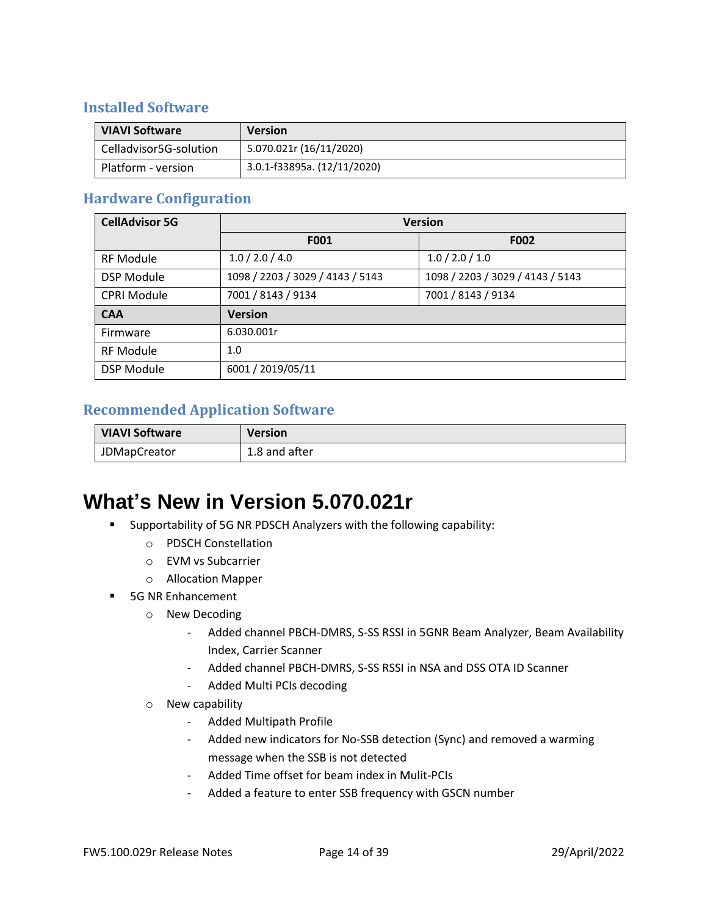#### **Installed Software**

| <b>VIAVI Software</b>  | <b>Version</b>              |
|------------------------|-----------------------------|
| Celladvisor5G-solution | 5.070.021r (16/11/2020)     |
| Platform - version     | 3.0.1-f33895a. (12/11/2020) |

#### **Hardware Configuration**

| <b>CellAdvisor 5G</b> | <b>Version</b>                   |                                  |
|-----------------------|----------------------------------|----------------------------------|
|                       | F001                             | <b>F002</b>                      |
| <b>RF Module</b>      | 1.0 / 2.0 / 4.0                  | 1.0 / 2.0 / 1.0                  |
| <b>DSP Module</b>     | 1098 / 2203 / 3029 / 4143 / 5143 | 1098 / 2203 / 3029 / 4143 / 5143 |
| <b>CPRI Module</b>    | 7001 / 8143 / 9134               | 7001 / 8143 / 9134               |
| <b>CAA</b>            | <b>Version</b>                   |                                  |
| Firmware              | 6.030.001r                       |                                  |
| <b>RF Module</b>      | 1.0                              |                                  |
| <b>DSP Module</b>     | 6001 / 2019/05/11                |                                  |

#### **Recommended Application Software**

| <b>VIAVI Software</b> | Version       |
|-----------------------|---------------|
| <b>JDMapCreator</b>   | 1.8 and after |

## **What's New in Version 5.070.021r**

- Supportability of 5G NR PDSCH Analyzers with the following capability:
	- o PDSCH Constellation
	- o EVM vs Subcarrier
	- o Allocation Mapper
- 5G NR Enhancement
	- o New Decoding
		- Added channel PBCH-DMRS, S-SS RSSI in 5GNR Beam Analyzer, Beam Availability Index, Carrier Scanner
		- Added channel PBCH-DMRS, S-SS RSSI in NSA and DSS OTA ID Scanner
		- Added Multi PCIs decoding
	- o New capability
		- Added Multipath Profile
		- Added new indicators for No-SSB detection (Sync) and removed a warming message when the SSB is not detected
		- Added Time offset for beam index in Mulit-PCIs
		- Added a feature to enter SSB frequency with GSCN number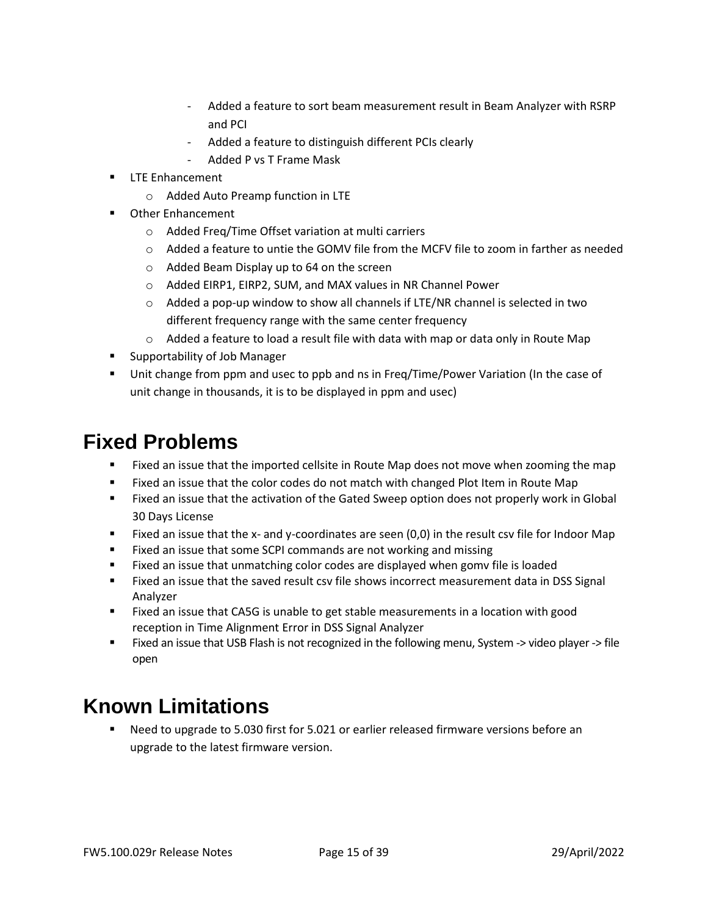- Added a feature to sort beam measurement result in Beam Analyzer with RSRP and PCI
- Added a feature to distinguish different PCIs clearly
- Added P vs T Frame Mask
- **LTE Enhancement** 
	- o Added Auto Preamp function in LTE
- **Other Enhancement** 
	- o Added Freq/Time Offset variation at multi carriers
	- o Added a feature to untie the GOMV file from the MCFV file to zoom in farther as needed
	- o Added Beam Display up to 64 on the screen
	- o Added EIRP1, EIRP2, SUM, and MAX values in NR Channel Power
	- $\circ$  Added a pop-up window to show all channels if LTE/NR channel is selected in two different frequency range with the same center frequency
	- $\circ$  Added a feature to load a result file with data with map or data only in Route Map
- Supportability of Job Manager
- Unit change from ppm and usec to ppb and ns in Freq/Time/Power Variation (In the case of unit change in thousands, it is to be displayed in ppm and usec)

- Fixed an issue that the imported cellsite in Route Map does not move when zooming the map
- Fixed an issue that the color codes do not match with changed Plot Item in Route Map
- Fixed an issue that the activation of the Gated Sweep option does not properly work in Global 30 Days License
- Fixed an issue that the x- and y-coordinates are seen (0,0) in the result csv file for Indoor Map
- Fixed an issue that some SCPI commands are not working and missing
- Fixed an issue that unmatching color codes are displayed when gomv file is loaded
- Fixed an issue that the saved result csv file shows incorrect measurement data in DSS Signal Analyzer
- Fixed an issue that CA5G is unable to get stable measurements in a location with good reception in Time Alignment Error in DSS Signal Analyzer
- Fixed an issue that USB Flash is not recognized in the following menu, System -> video player -> file open

# **Known Limitations**

Need to upgrade to 5.030 first for 5.021 or earlier released firmware versions before an upgrade to the latest firmware version.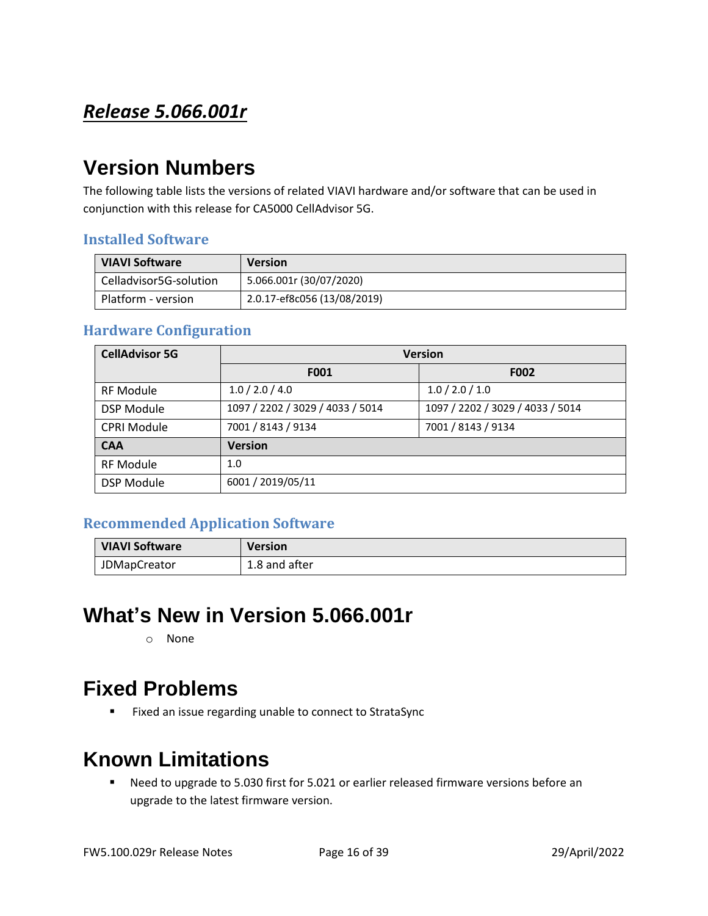### <span id="page-15-0"></span>*Release 5.066.001r*

### **Version Numbers**

The following table lists the versions of related VIAVI hardware and/or software that can be used in conjunction with this release for CA5000 CellAdvisor 5G.

#### **Installed Software**

| <b>VIAVI Software</b>  | <b>Version</b>              |
|------------------------|-----------------------------|
| Celladvisor5G-solution | 5.066.001r (30/07/2020)     |
| Platform - version     | 2.0.17-ef8c056 (13/08/2019) |

#### **Hardware Configuration**

| <b>CellAdvisor 5G</b> | <b>Version</b>                   |                                  |
|-----------------------|----------------------------------|----------------------------------|
|                       | F001                             | <b>F002</b>                      |
| <b>RF Module</b>      | 1.0 / 2.0 / 4.0                  | 1.0 / 2.0 / 1.0                  |
| <b>DSP Module</b>     | 1097 / 2202 / 3029 / 4033 / 5014 | 1097 / 2202 / 3029 / 4033 / 5014 |
| <b>CPRI Module</b>    | 7001 / 8143 / 9134               | 7001 / 8143 / 9134               |
| <b>CAA</b>            | <b>Version</b>                   |                                  |
| <b>RF Module</b>      | 1.0                              |                                  |
| <b>DSP Module</b>     | 6001 / 2019/05/11                |                                  |

#### **Recommended Application Software**

| <b>VIAVI Software</b> | <b>Version</b> |
|-----------------------|----------------|
| <b>JDMapCreator</b>   | 1.8 and after  |

### **What's New in Version 5.066.001r**

o None

### **Fixed Problems**

■ Fixed an issue regarding unable to connect to StrataSync

### **Known Limitations**

■ Need to upgrade to 5.030 first for 5.021 or earlier released firmware versions before an upgrade to the latest firmware version.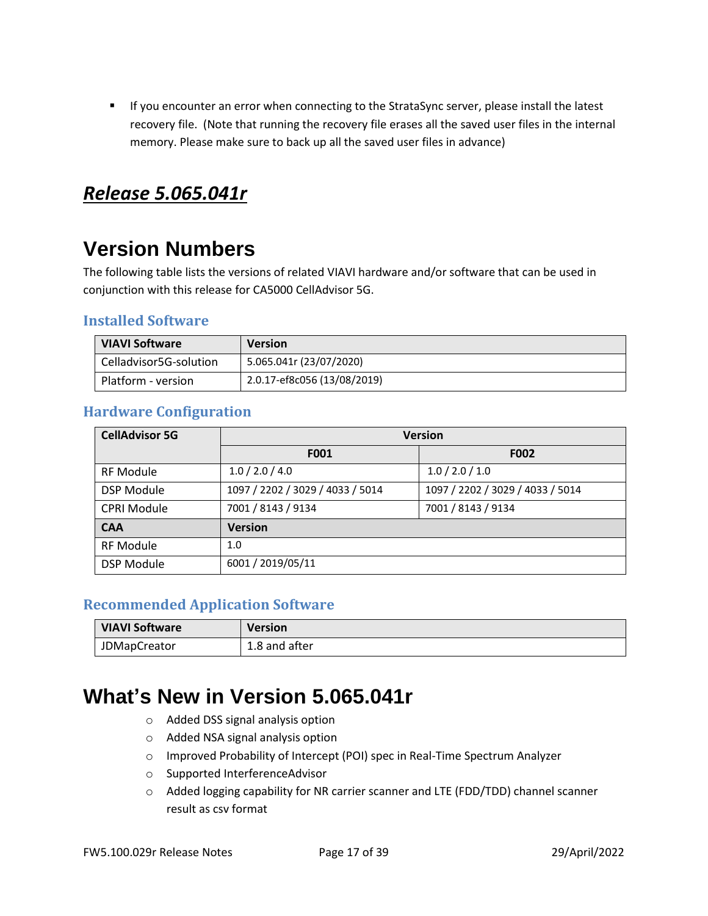■ If you encounter an error when connecting to the StrataSync server, please install the latest recovery file. (Note that running the recovery file erases all the saved user files in the internal memory. Please make sure to back up all the saved user files in advance)

#### <span id="page-16-0"></span>*Release 5.065.041r*

## **Version Numbers**

The following table lists the versions of related VIAVI hardware and/or software that can be used in conjunction with this release for CA5000 CellAdvisor 5G.

#### **Installed Software**

| <b>VIAVI Software</b>  | <b>Version</b>              |
|------------------------|-----------------------------|
| Celladvisor5G-solution | 5.065.041r (23/07/2020)     |
| Platform - version     | 2.0.17-ef8c056 (13/08/2019) |

#### **Hardware Configuration**

| <b>CellAdvisor 5G</b> | <b>Version</b>                   |                                  |
|-----------------------|----------------------------------|----------------------------------|
|                       | F001                             | <b>F002</b>                      |
| <b>RF Module</b>      | 1.0 / 2.0 / 4.0                  | 1.0 / 2.0 / 1.0                  |
| <b>DSP Module</b>     | 1097 / 2202 / 3029 / 4033 / 5014 | 1097 / 2202 / 3029 / 4033 / 5014 |
| <b>CPRI Module</b>    | 7001 / 8143 / 9134               | 7001 / 8143 / 9134               |
| <b>CAA</b>            | <b>Version</b>                   |                                  |
| <b>RF Module</b>      | 1.0                              |                                  |
| <b>DSP Module</b>     | 6001 / 2019/05/11                |                                  |

#### **Recommended Application Software**

| <b>VIAVI Software</b> | Version       |
|-----------------------|---------------|
| <b>JDMapCreator</b>   | 1.8 and after |

### **What's New in Version 5.065.041r**

- o Added DSS signal analysis option
- o Added NSA signal analysis option
- o Improved Probability of Intercept (POI) spec in Real-Time Spectrum Analyzer
- o Supported InterferenceAdvisor
- o Added logging capability for NR carrier scanner and LTE (FDD/TDD) channel scanner result as csv format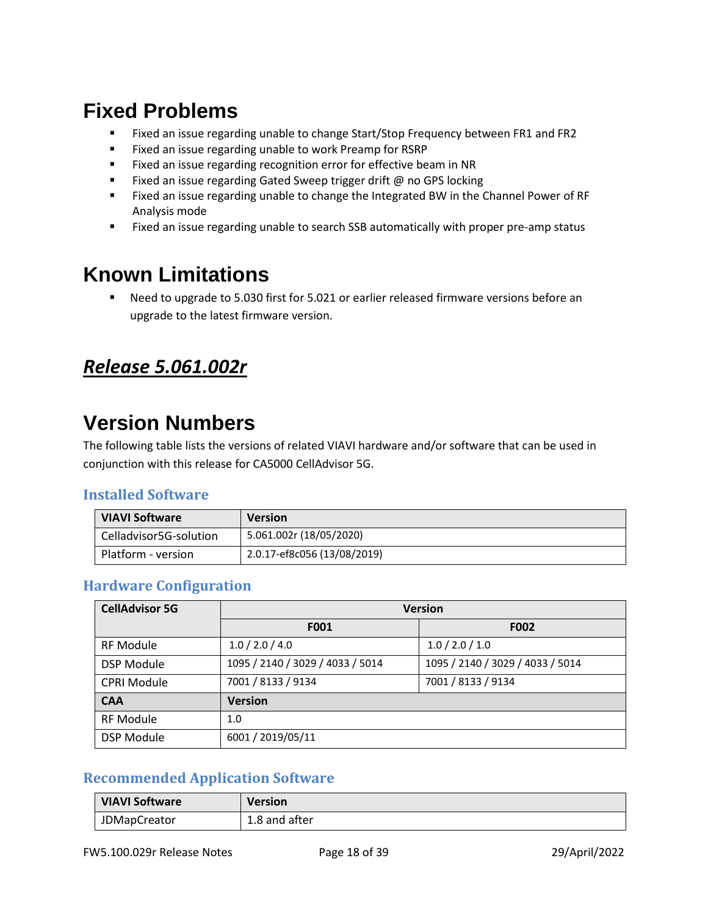- Fixed an issue regarding unable to change Start/Stop Frequency between FR1 and FR2
- Fixed an issue regarding unable to work Preamp for RSRP
- Fixed an issue regarding recognition error for effective beam in NR
- Fixed an issue regarding Gated Sweep trigger drift @ no GPS locking
- Fixed an issue regarding unable to change the Integrated BW in the Channel Power of RF Analysis mode
- Fixed an issue regarding unable to search SSB automatically with proper pre-amp status

## **Known Limitations**

■ Need to upgrade to 5.030 first for 5.021 or earlier released firmware versions before an upgrade to the latest firmware version.

### <span id="page-17-0"></span>*Release 5.061.002r*

### **Version Numbers**

The following table lists the versions of related VIAVI hardware and/or software that can be used in conjunction with this release for CA5000 CellAdvisor 5G.

#### **Installed Software**

| <b>VIAVI Software</b>  | <b>Version</b>              |
|------------------------|-----------------------------|
| Celladvisor5G-solution | 5.061.002r (18/05/2020)     |
| Platform - version     | 2.0.17-ef8c056 (13/08/2019) |

#### **Hardware Configuration**

| <b>CellAdvisor 5G</b> | <b>Version</b>                   |                                  |
|-----------------------|----------------------------------|----------------------------------|
|                       | F001                             | <b>F002</b>                      |
| <b>RF Module</b>      | 1.0 / 2.0 / 4.0                  | 1.0 / 2.0 / 1.0                  |
| <b>DSP Module</b>     | 1095 / 2140 / 3029 / 4033 / 5014 | 1095 / 2140 / 3029 / 4033 / 5014 |
| <b>CPRI Module</b>    | 7001 / 8133 / 9134               | 7001 / 8133 / 9134               |
| <b>CAA</b>            | <b>Version</b>                   |                                  |
| <b>RF Module</b>      | 1.0                              |                                  |
| <b>DSP Module</b>     | 6001 / 2019/05/11                |                                  |

#### **Recommended Application Software**

| <b>VIAVI Software</b> | <b>Version</b> |
|-----------------------|----------------|
| <b>JDMapCreator</b>   | 1.8 and after  |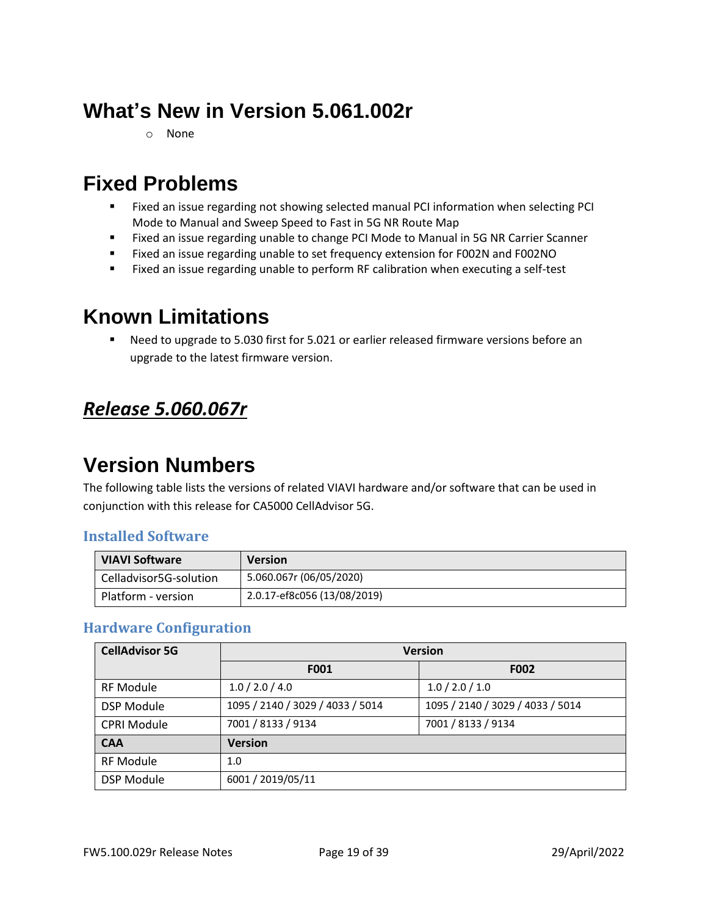# **What's New in Version 5.061.002r**

o None

## **Fixed Problems**

- Fixed an issue regarding not showing selected manual PCI information when selecting PCI Mode to Manual and Sweep Speed to Fast in 5G NR Route Map
- Fixed an issue regarding unable to change PCI Mode to Manual in 5G NR Carrier Scanner
- Fixed an issue regarding unable to set frequency extension for F002N and F002NO
- Fixed an issue regarding unable to perform RF calibration when executing a self-test

## **Known Limitations**

■ Need to upgrade to 5.030 first for 5.021 or earlier released firmware versions before an upgrade to the latest firmware version.

### <span id="page-18-0"></span>*Release 5.060.067r*

## **Version Numbers**

The following table lists the versions of related VIAVI hardware and/or software that can be used in conjunction with this release for CA5000 CellAdvisor 5G.

#### **Installed Software**

| <b>VIAVI Software</b>  | <b>Version</b>              |
|------------------------|-----------------------------|
| Celladvisor5G-solution | 5.060.067r (06/05/2020)     |
| Platform - version     | 2.0.17-ef8c056 (13/08/2019) |

#### **Hardware Configuration**

| <b>CellAdvisor 5G</b> | <b>Version</b>                   |                                  |
|-----------------------|----------------------------------|----------------------------------|
|                       | F001                             | <b>F002</b>                      |
| <b>RF Module</b>      | 1.0 / 2.0 / 4.0                  | 1.0 / 2.0 / 1.0                  |
| <b>DSP Module</b>     | 1095 / 2140 / 3029 / 4033 / 5014 | 1095 / 2140 / 3029 / 4033 / 5014 |
| <b>CPRI Module</b>    | 7001 / 8133 / 9134               | 7001 / 8133 / 9134               |
| <b>CAA</b>            | <b>Version</b>                   |                                  |
| <b>RF Module</b>      | 1.0                              |                                  |
| <b>DSP Module</b>     | 6001 / 2019/05/11                |                                  |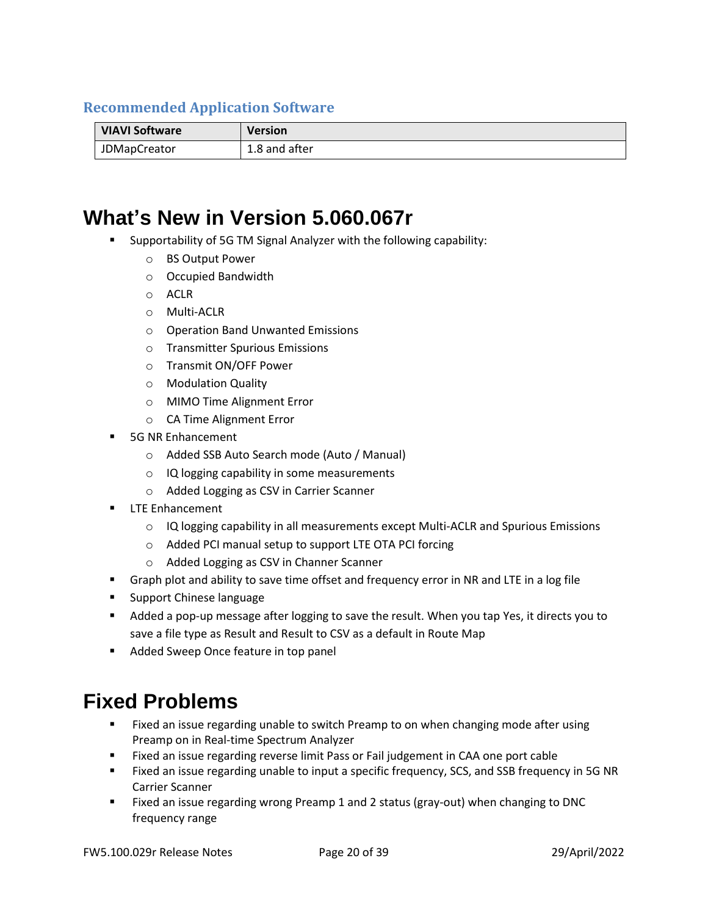#### **Recommended Application Software**

| <b>VIAVI Software</b> | Version       |
|-----------------------|---------------|
| <b>JDMapCreator</b>   | 1.8 and after |

### **What's New in Version 5.060.067r**

- Supportability of 5G TM Signal Analyzer with the following capability:
	- o BS Output Power
	- o Occupied Bandwidth
	- o ACLR
	- o Multi-ACLR
	- o Operation Band Unwanted Emissions
	- o Transmitter Spurious Emissions
	- o Transmit ON/OFF Power
	- o Modulation Quality
	- o MIMO Time Alignment Error
	- o CA Time Alignment Error
- **5G NR Enhancement** 
	- o Added SSB Auto Search mode (Auto / Manual)
	- o IQ logging capability in some measurements
	- o Added Logging as CSV in Carrier Scanner
- **LTE Enhancement** 
	- $\circ$  IQ logging capability in all measurements except Multi-ACLR and Spurious Emissions
	- o Added PCI manual setup to support LTE OTA PCI forcing
	- o Added Logging as CSV in Channer Scanner
- **EXECT** Graph plot and ability to save time offset and frequency error in NR and LTE in a log file
- Support Chinese language
- Added a pop-up message after logging to save the result. When you tap Yes, it directs you to save a file type as Result and Result to CSV as a default in Route Map
- Added Sweep Once feature in top panel

### **Fixed Problems**

- Fixed an issue regarding unable to switch Preamp to on when changing mode after using Preamp on in Real-time Spectrum Analyzer
- Fixed an issue regarding reverse limit Pass or Fail judgement in CAA one port cable
- Fixed an issue regarding unable to input a specific frequency, SCS, and SSB frequency in 5G NR Carrier Scanner
- Fixed an issue regarding wrong Preamp 1 and 2 status (gray-out) when changing to DNC frequency range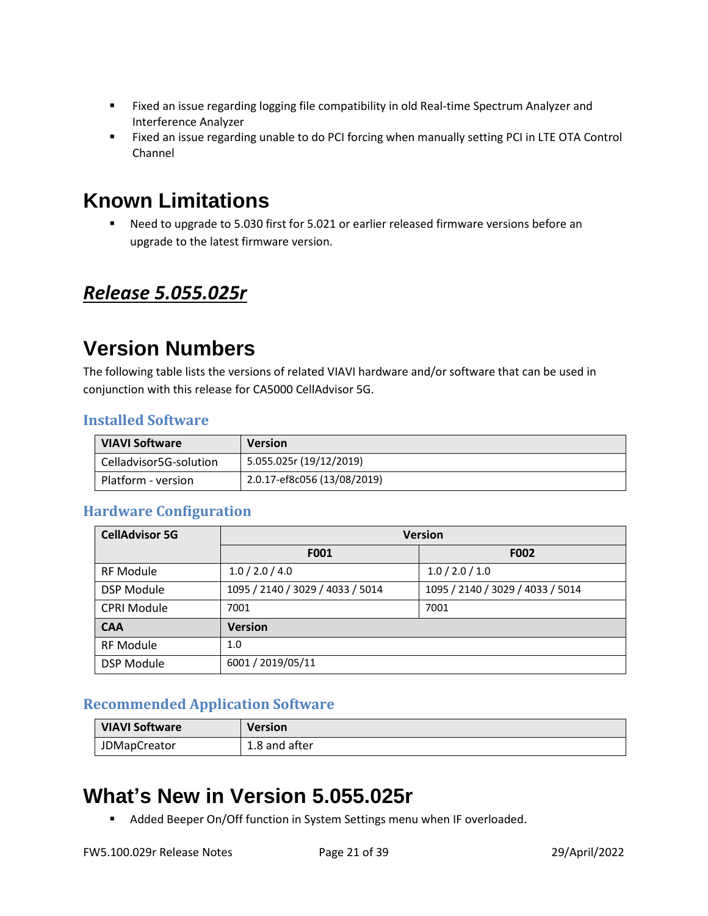- Fixed an issue regarding logging file compatibility in old Real-time Spectrum Analyzer and Interference Analyzer
- Fixed an issue regarding unable to do PCI forcing when manually setting PCI in LTE OTA Control Channel

## **Known Limitations**

■ Need to upgrade to 5.030 first for 5.021 or earlier released firmware versions before an upgrade to the latest firmware version.

### <span id="page-20-0"></span>*Release 5.055.025r*

### **Version Numbers**

The following table lists the versions of related VIAVI hardware and/or software that can be used in conjunction with this release for CA5000 CellAdvisor 5G.

#### **Installed Software**

| <b>VIAVI Software</b>  | <b>Version</b>              |
|------------------------|-----------------------------|
| Celladvisor5G-solution | 5.055.025r (19/12/2019)     |
| Platform - version     | 2.0.17-ef8c056 (13/08/2019) |

#### **Hardware Configuration**

| <b>CellAdvisor 5G</b> | <b>Version</b>                   |                                  |
|-----------------------|----------------------------------|----------------------------------|
|                       | <b>F001</b>                      | <b>F002</b>                      |
| <b>RF Module</b>      | 1.0 / 2.0 / 4.0                  | 1.0 / 2.0 / 1.0                  |
| <b>DSP Module</b>     | 1095 / 2140 / 3029 / 4033 / 5014 | 1095 / 2140 / 3029 / 4033 / 5014 |
| <b>CPRI Module</b>    | 7001                             | 7001                             |
| <b>CAA</b>            | <b>Version</b>                   |                                  |
| <b>RF Module</b>      | 1.0                              |                                  |
| <b>DSP Module</b>     | 6001 / 2019/05/11                |                                  |

#### **Recommended Application Software**

| <b>VIAVI Software</b> | <b>Version</b> |
|-----------------------|----------------|
| <b>JDMapCreator</b>   | 1.8 and after  |

# **What's New in Version 5.055.025r**

■ Added Beeper On/Off function in System Settings menu when IF overloaded.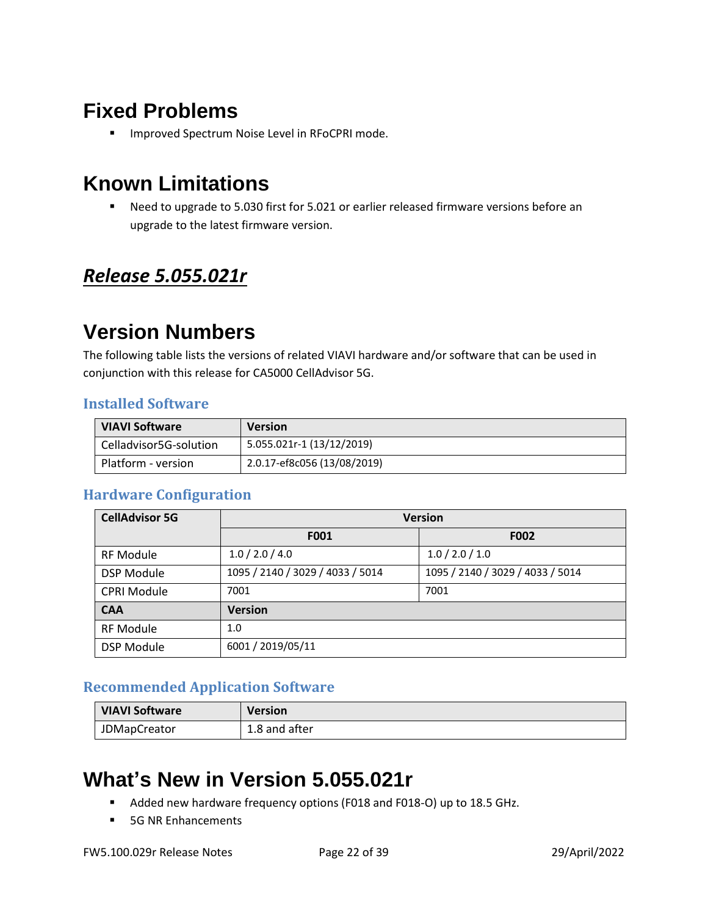■ Improved Spectrum Noise Level in RFoCPRI mode.

## **Known Limitations**

■ Need to upgrade to 5.030 first for 5.021 or earlier released firmware versions before an upgrade to the latest firmware version.

### <span id="page-21-0"></span>*Release 5.055.021r*

### **Version Numbers**

The following table lists the versions of related VIAVI hardware and/or software that can be used in conjunction with this release for CA5000 CellAdvisor 5G.

#### **Installed Software**

| <b>VIAVI Software</b>  | <b>Version</b>              |
|------------------------|-----------------------------|
| Celladvisor5G-solution | 5.055.021r-1 (13/12/2019)   |
| Platform - version     | 2.0.17-ef8c056 (13/08/2019) |

#### **Hardware Configuration**

| <b>CellAdvisor 5G</b> | <b>Version</b>                   |                                  |
|-----------------------|----------------------------------|----------------------------------|
|                       | F001                             | <b>F002</b>                      |
| <b>RF Module</b>      | 1.0 / 2.0 / 4.0                  | 1.0 / 2.0 / 1.0                  |
| <b>DSP Module</b>     | 1095 / 2140 / 3029 / 4033 / 5014 | 1095 / 2140 / 3029 / 4033 / 5014 |
| <b>CPRI Module</b>    | 7001                             | 7001                             |
| <b>CAA</b>            | <b>Version</b>                   |                                  |
| <b>RF Module</b>      | 1.0                              |                                  |
| <b>DSP Module</b>     | 6001 / 2019/05/11                |                                  |

#### **Recommended Application Software**

| <b>VIAVI Software</b> | <b>Version</b> |
|-----------------------|----------------|
| <b>JDMapCreator</b>   | 1.8 and after  |

# **What's New in Version 5.055.021r**

- Added new hardware frequency options (F018 and F018-O) up to 18.5 GHz.
- 5G NR Enhancements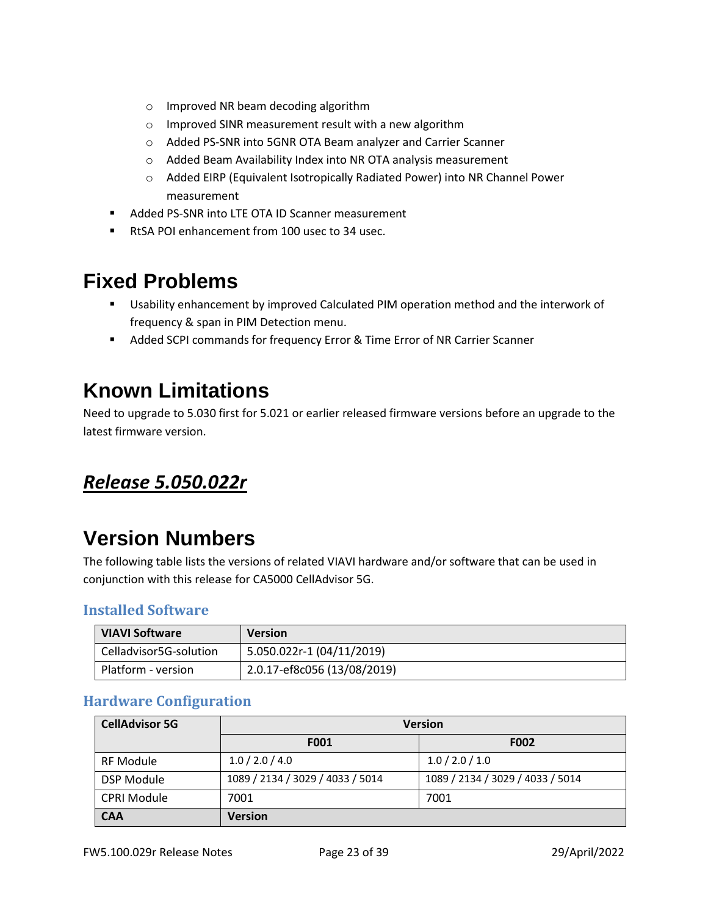- o Improved NR beam decoding algorithm
- o Improved SINR measurement result with a new algorithm
- o Added PS-SNR into 5GNR OTA Beam analyzer and Carrier Scanner
- o Added Beam Availability Index into NR OTA analysis measurement
- o Added EIRP (Equivalent Isotropically Radiated Power) into NR Channel Power measurement
- Added PS-SNR into LTE OTA ID Scanner measurement
- RtSA POI enhancement from 100 usec to 34 usec.

- Usability enhancement by improved Calculated PIM operation method and the interwork of frequency & span in PIM Detection menu.
- Added SCPI commands for frequency Error & Time Error of NR Carrier Scanner

### **Known Limitations**

Need to upgrade to 5.030 first for 5.021 or earlier released firmware versions before an upgrade to the latest firmware version.

#### <span id="page-22-0"></span>*Release 5.050.022r*

## **Version Numbers**

The following table lists the versions of related VIAVI hardware and/or software that can be used in conjunction with this release for CA5000 CellAdvisor 5G.

#### **Installed Software**

| <b>VIAVI Software</b>  | <b>Version</b>              |
|------------------------|-----------------------------|
| Celladvisor5G-solution | 5.050.022r-1 (04/11/2019)   |
| Platform - version     | 2.0.17-ef8c056 (13/08/2019) |

#### **Hardware Configuration**

| <b>CellAdvisor 5G</b> | <b>Version</b>                   |                                  |
|-----------------------|----------------------------------|----------------------------------|
|                       | F001                             | F002                             |
| <b>RF Module</b>      | 1.0 / 2.0 / 4.0                  | 1.0 / 2.0 / 1.0                  |
| <b>DSP Module</b>     | 1089 / 2134 / 3029 / 4033 / 5014 | 1089 / 2134 / 3029 / 4033 / 5014 |
| <b>CPRI Module</b>    | 7001                             | 7001                             |
| <b>CAA</b>            | <b>Version</b>                   |                                  |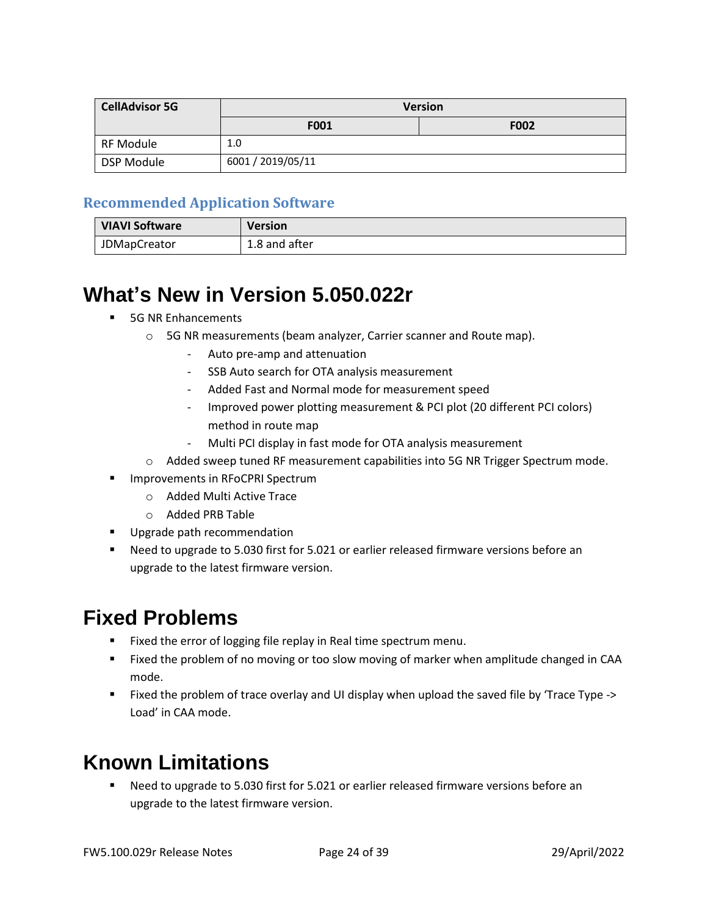| <b>CellAdvisor 5G</b> | <b>Version</b>    |             |
|-----------------------|-------------------|-------------|
|                       | F001              | <b>F002</b> |
| RF Module             | 1.0               |             |
| DSP Module            | 6001 / 2019/05/11 |             |

#### **Recommended Application Software**

| <b>VIAVI Software</b> | Version       |
|-----------------------|---------------|
| <b>JDMapCreator</b>   | 1.8 and after |

### **What's New in Version 5.050.022r**

- **5G NR Enhancements** 
	- o 5G NR measurements (beam analyzer, Carrier scanner and Route map).
		- Auto pre-amp and attenuation
		- SSB Auto search for OTA analysis measurement
		- Added Fast and Normal mode for measurement speed
		- Improved power plotting measurement & PCI plot (20 different PCI colors) method in route map
		- Multi PCI display in fast mode for OTA analysis measurement
	- o Added sweep tuned RF measurement capabilities into 5G NR Trigger Spectrum mode.
- **■** Improvements in RFoCPRI Spectrum
	- o Added Multi Active Trace
	- o Added PRB Table
- **■** Upgrade path recommendation
- Need to upgrade to 5.030 first for 5.021 or earlier released firmware versions before an upgrade to the latest firmware version.

### **Fixed Problems**

- Fixed the error of logging file replay in Real time spectrum menu.
- Fixed the problem of no moving or too slow moving of marker when amplitude changed in CAA mode.
- Fixed the problem of trace overlay and UI display when upload the saved file by 'Trace Type -> Load' in CAA mode.

# **Known Limitations**

Need to upgrade to 5.030 first for 5.021 or earlier released firmware versions before an upgrade to the latest firmware version.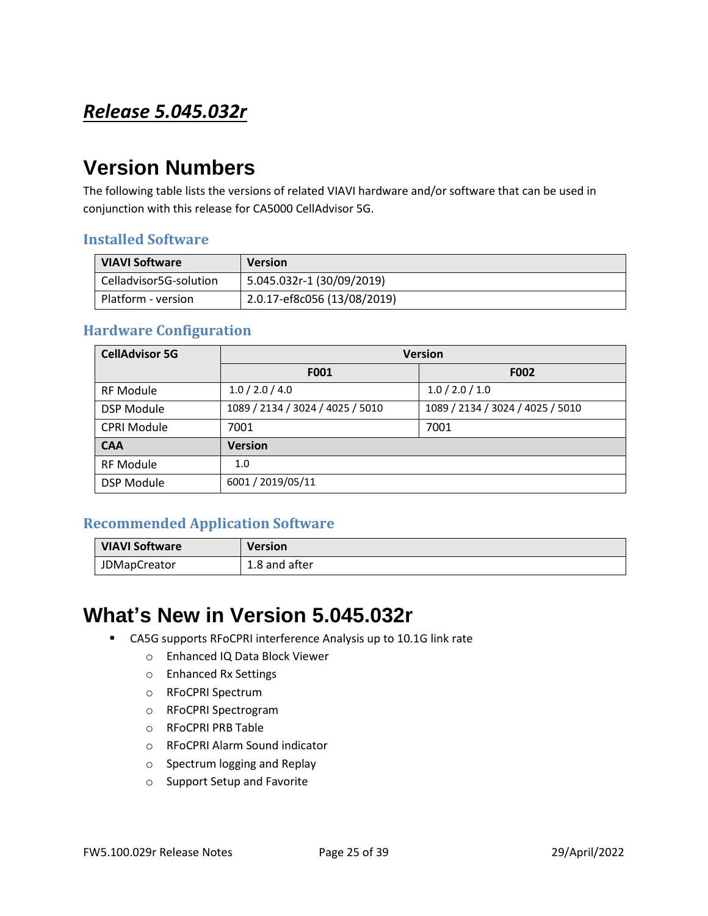### <span id="page-24-0"></span>*Release 5.045.032r*

# **Version Numbers**

The following table lists the versions of related VIAVI hardware and/or software that can be used in conjunction with this release for CA5000 CellAdvisor 5G.

#### **Installed Software**

| <b>VIAVI Software</b>  | <b>Version</b>              |
|------------------------|-----------------------------|
| Celladvisor5G-solution | 5.045.032r-1 (30/09/2019)   |
| Platform - version     | 2.0.17-ef8c056 (13/08/2019) |

#### **Hardware Configuration**

| <b>CellAdvisor 5G</b> | <b>Version</b>                   |                                  |
|-----------------------|----------------------------------|----------------------------------|
|                       | F001                             | <b>F002</b>                      |
| <b>RF Module</b>      | 1.0 / 2.0 / 4.0                  | 1.0 / 2.0 / 1.0                  |
| <b>DSP Module</b>     | 1089 / 2134 / 3024 / 4025 / 5010 | 1089 / 2134 / 3024 / 4025 / 5010 |
| <b>CPRI Module</b>    | 7001                             | 7001                             |
| <b>CAA</b>            | <b>Version</b>                   |                                  |
| <b>RF Module</b>      | 1.0                              |                                  |
| <b>DSP Module</b>     | 6001 / 2019/05/11                |                                  |

#### **Recommended Application Software**

| <b>VIAVI Software</b> | <b>Version</b> |
|-----------------------|----------------|
| <b>JDMapCreator</b>   | 1.8 and after  |

### **What's New in Version 5.045.032r**

- CA5G supports RFoCPRI interference Analysis up to 10.1G link rate
	- o Enhanced IQ Data Block Viewer
	- o Enhanced Rx Settings
	- o RFoCPRI Spectrum
	- o RFoCPRI Spectrogram
	- o RFoCPRI PRB Table
	- o RFoCPRI Alarm Sound indicator
	- o Spectrum logging and Replay
	- o Support Setup and Favorite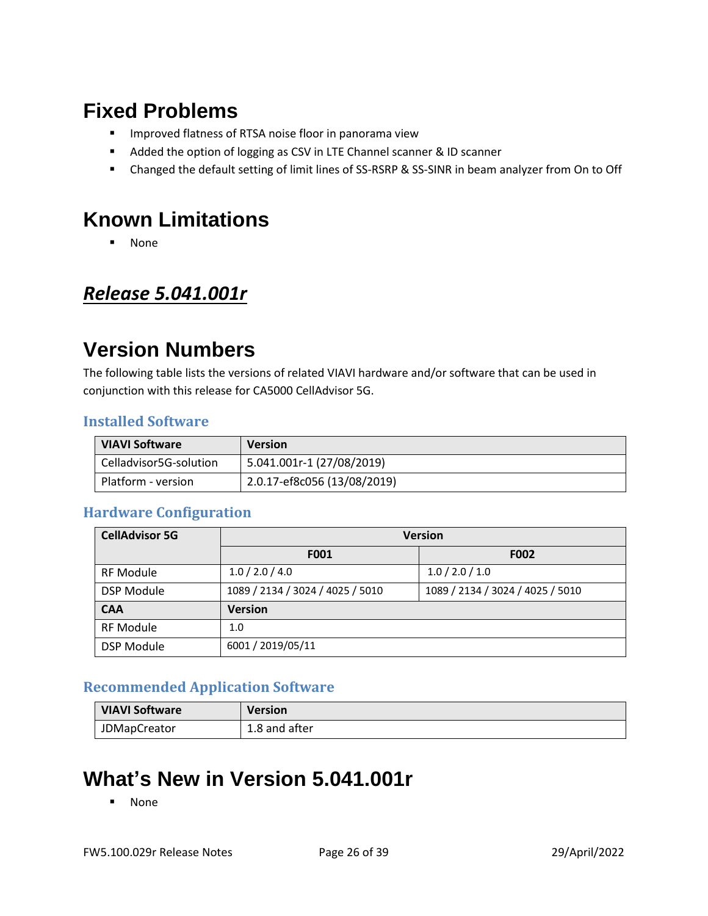- **■** Improved flatness of RTSA noise floor in panorama view
- Added the option of logging as CSV in LTE Channel scanner & ID scanner
- Changed the default setting of limit lines of SS-RSRP & SS-SINR in beam analyzer from On to Off

### **Known Limitations**

■ None

#### <span id="page-25-0"></span>*Release 5.041.001r*

### **Version Numbers**

The following table lists the versions of related VIAVI hardware and/or software that can be used in conjunction with this release for CA5000 CellAdvisor 5G.

#### **Installed Software**

| <b>VIAVI Software</b>  | <b>Version</b>              |
|------------------------|-----------------------------|
| Celladvisor5G-solution | 5.041.001r-1 (27/08/2019)   |
| Platform - version     | 2.0.17-ef8c056 (13/08/2019) |

#### **Hardware Configuration**

| <b>CellAdvisor 5G</b> | <b>Version</b>                   |                                  |
|-----------------------|----------------------------------|----------------------------------|
|                       | F001                             | <b>F002</b>                      |
| <b>RF Module</b>      | 1.0 / 2.0 / 4.0                  | 1.0 / 2.0 / 1.0                  |
| <b>DSP Module</b>     | 1089 / 2134 / 3024 / 4025 / 5010 | 1089 / 2134 / 3024 / 4025 / 5010 |
| <b>CAA</b>            | <b>Version</b>                   |                                  |
| <b>RF Module</b>      | 1.0                              |                                  |
| <b>DSP Module</b>     | 6001 / 2019/05/11                |                                  |

#### **Recommended Application Software**

| <b>VIAVI Software</b> | <b>Version</b> |
|-----------------------|----------------|
| <b>JDMapCreator</b>   | 1.8 and after  |

# **What's New in Version 5.041.001r**

▪ None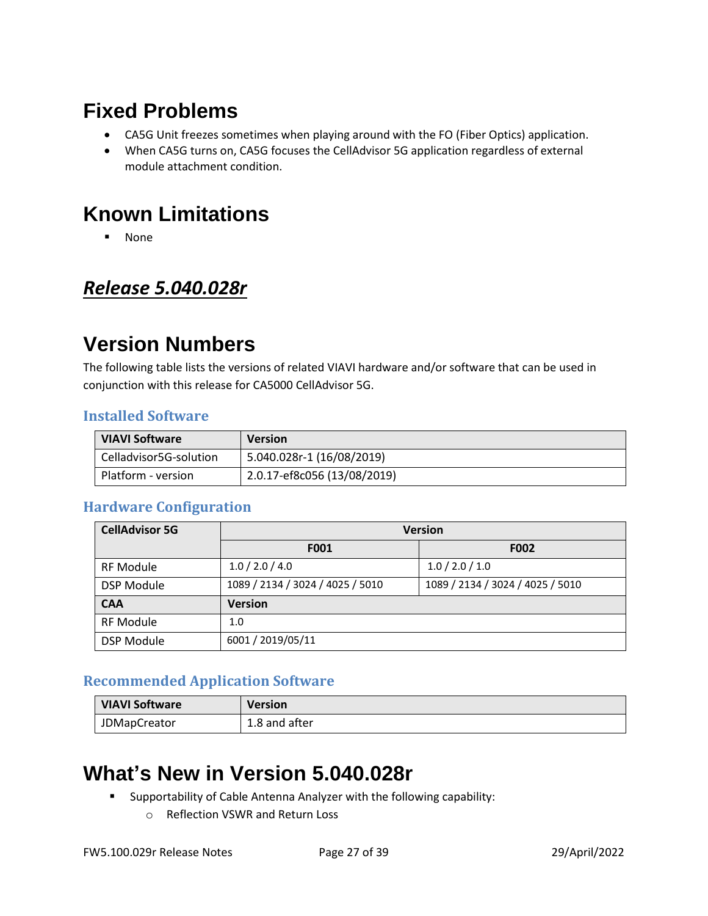- CA5G Unit freezes sometimes when playing around with the FO (Fiber Optics) application.
- When CA5G turns on, CA5G focuses the CellAdvisor 5G application regardless of external module attachment condition.

## **Known Limitations**

■ None

### <span id="page-26-0"></span>*Release 5.040.028r*

## **Version Numbers**

The following table lists the versions of related VIAVI hardware and/or software that can be used in conjunction with this release for CA5000 CellAdvisor 5G.

#### **Installed Software**

| <b>VIAVI Software</b>  | <b>Version</b>              |
|------------------------|-----------------------------|
| Celladvisor5G-solution | 5.040.028r-1 (16/08/2019)   |
| Platform - version     | 2.0.17-ef8c056 (13/08/2019) |

#### **Hardware Configuration**

| <b>CellAdvisor 5G</b> | <b>Version</b>                   |                                  |
|-----------------------|----------------------------------|----------------------------------|
|                       | F001                             | F002                             |
| <b>RF Module</b>      | 1.0 / 2.0 / 4.0                  | 1.0 / 2.0 / 1.0                  |
| <b>DSP Module</b>     | 1089 / 2134 / 3024 / 4025 / 5010 | 1089 / 2134 / 3024 / 4025 / 5010 |
| <b>CAA</b>            | <b>Version</b>                   |                                  |
| <b>RF Module</b>      | 1.0                              |                                  |
| <b>DSP Module</b>     | 6001 / 2019/05/11                |                                  |

#### **Recommended Application Software**

| VIAVI Software      | <b>Version</b> |
|---------------------|----------------|
| <b>JDMapCreator</b> | 1.8 and after  |

### **What's New in Version 5.040.028r**

- Supportability of Cable Antenna Analyzer with the following capability:
	- o Reflection VSWR and Return Loss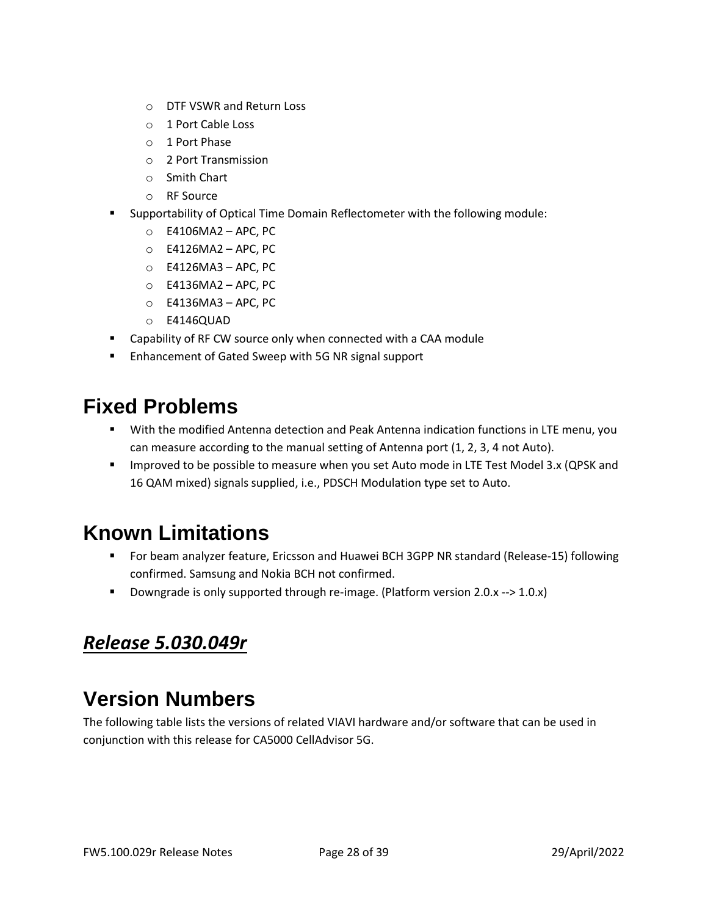- o DTF VSWR and Return Loss
- o 1 Port Cable Loss
- o 1 Port Phase
- o 2 Port Transmission
- o Smith Chart
- o RF Source
- Supportability of Optical Time Domain Reflectometer with the following module:
	- o E4106MA2 APC, PC
	- o E4126MA2 APC, PC
	- o E4126MA3 APC, PC
	- o E4136MA2 APC, PC
	- o E4136MA3 APC, PC
	- o E4146QUAD
- Capability of RF CW source only when connected with a CAA module
- Enhancement of Gated Sweep with 5G NR signal support

- **■** With the modified Antenna detection and Peak Antenna indication functions in LTE menu, you can measure according to the manual setting of Antenna port (1, 2, 3, 4 not Auto).
- **■** Improved to be possible to measure when you set Auto mode in LTE Test Model 3.x (QPSK and 16 QAM mixed) signals supplied, i.e., PDSCH Modulation type set to Auto.

## **Known Limitations**

- For beam analyzer feature, Ericsson and Huawei BCH 3GPP NR standard (Release-15) following confirmed. Samsung and Nokia BCH not confirmed.
- Downgrade is only supported through re-image. (Platform version 2.0.x --> 1.0.x)

### <span id="page-27-0"></span>*Release 5.030.049r*

## **Version Numbers**

The following table lists the versions of related VIAVI hardware and/or software that can be used in conjunction with this release for CA5000 CellAdvisor 5G.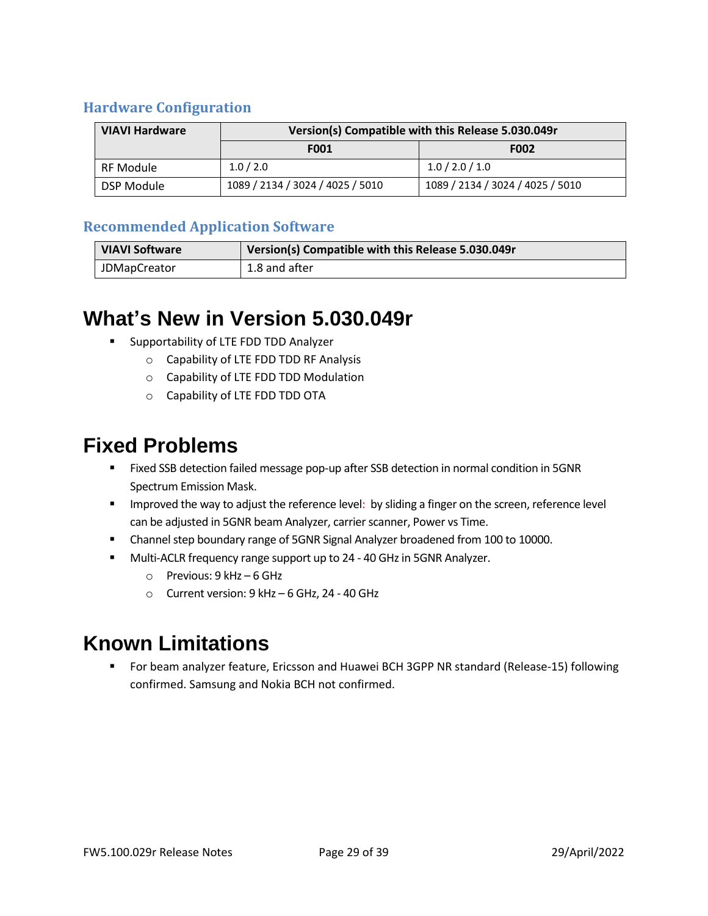#### **Hardware Configuration**

| <b>VIAVI Hardware</b> | Version(s) Compatible with this Release 5.030.049r |                                  |
|-----------------------|----------------------------------------------------|----------------------------------|
|                       | <b>F001</b>                                        | <b>F002</b>                      |
| RF Module             | 1.0 / 2.0                                          | 1.0 / 2.0 / 1.0                  |
| DSP Module            | 1089 / 2134 / 3024 / 4025 / 5010                   | 1089 / 2134 / 3024 / 4025 / 5010 |

#### **Recommended Application Software**

| <b>VIAVI Software</b> | Version(s) Compatible with this Release 5.030.049r |
|-----------------------|----------------------------------------------------|
| <b>JDMapCreator</b>   | 1.8 and after                                      |

### **What's New in Version 5.030.049r**

- Supportability of LTE FDD TDD Analyzer
	- o Capability of LTE FDD TDD RF Analysis
	- o Capability of LTE FDD TDD Modulation
	- o Capability of LTE FDD TDD OTA

### **Fixed Problems**

- **EXECUSE 15 Fixed SSB detection failed message pop-up after SSB detection in normal condition in 5GNR** Spectrum Emission Mask.
- **■** Improved the way to adjust the reference level: by sliding a finger on the screen, reference level can be adjusted in 5GNR beam Analyzer, carrier scanner, Power vs Time.
- Channel step boundary range of 5GNR Signal Analyzer broadened from 100 to 10000.
- Multi-ACLR frequency range support up to 24 40 GHz in 5GNR Analyzer.
	- o Previous: 9 kHz 6 GHz
	- o Current version: 9 kHz 6 GHz, 24 40 GHz

### **Known Limitations**

■ For beam analyzer feature, Ericsson and Huawei BCH 3GPP NR standard (Release-15) following confirmed. Samsung and Nokia BCH not confirmed.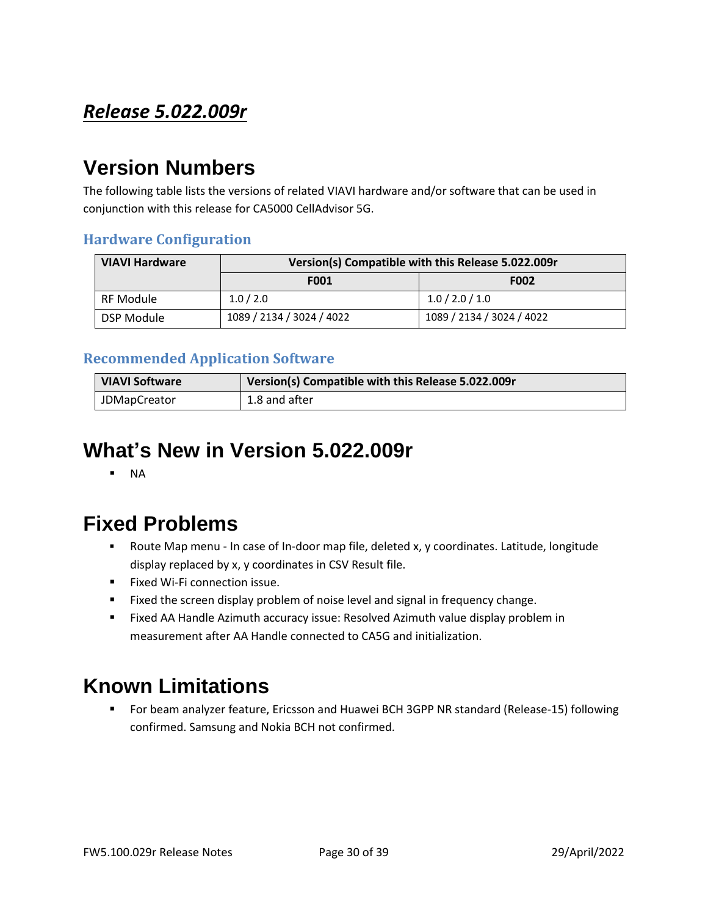### <span id="page-29-0"></span>*Release 5.022.009r*

# **Version Numbers**

The following table lists the versions of related VIAVI hardware and/or software that can be used in conjunction with this release for CA5000 CellAdvisor 5G.

#### **Hardware Configuration**

| VIAVI Hardware | Version(s) Compatible with this Release 5.022.009r |                           |  |
|----------------|----------------------------------------------------|---------------------------|--|
|                | <b>F001</b>                                        | <b>F002</b>               |  |
| RF Module      | 1.0 / 2.0                                          | 1.0 / 2.0 / 1.0           |  |
| DSP Module     | 1089 / 2134 / 3024 / 4022                          | 1089 / 2134 / 3024 / 4022 |  |

#### **Recommended Application Software**

| <b>VIAVI Software</b> | Version(s) Compatible with this Release 5.022.009r |
|-----------------------|----------------------------------------------------|
| <b>JDMapCreator</b>   | 1.8 and after                                      |

### **What's New in Version 5.022.009r**

▪ NA

### **Fixed Problems**

- Route Map menu In case of In-door map file, deleted x, y coordinates. Latitude, longitude display replaced by x, y coordinates in CSV Result file.
- Fixed Wi-Fi connection issue.
- Fixed the screen display problem of noise level and signal in frequency change.
- Fixed AA Handle Azimuth accuracy issue: Resolved Azimuth value display problem in measurement after AA Handle connected to CA5G and initialization.

### **Known Limitations**

For beam analyzer feature, Ericsson and Huawei BCH 3GPP NR standard (Release-15) following confirmed. Samsung and Nokia BCH not confirmed.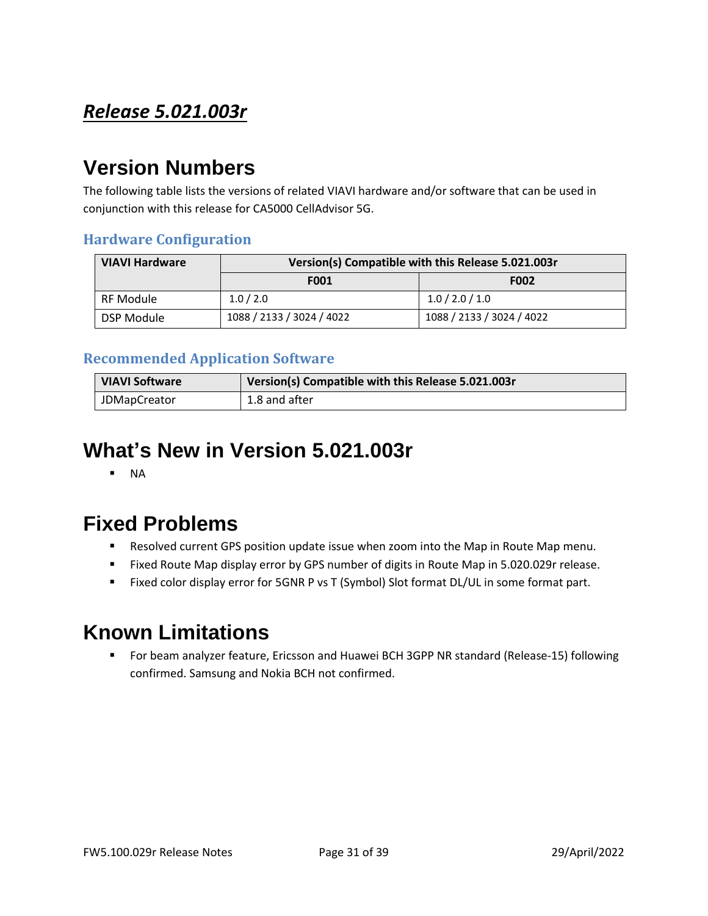### <span id="page-30-0"></span>*Release 5.021.003r*

### **Version Numbers**

The following table lists the versions of related VIAVI hardware and/or software that can be used in conjunction with this release for CA5000 CellAdvisor 5G.

#### **Hardware Configuration**

| <b>VIAVI Hardware</b> | Version(s) Compatible with this Release 5.021.003r |                           |  |
|-----------------------|----------------------------------------------------|---------------------------|--|
|                       | <b>F001</b>                                        | <b>F002</b>               |  |
| RF Module             | 1.0 / 2.0                                          | 1.0 / 2.0 / 1.0           |  |
| DSP Module            | 1088 / 2133 / 3024 / 4022                          | 1088 / 2133 / 3024 / 4022 |  |

#### **Recommended Application Software**

| <b>VIAVI Software</b> | Version(s) Compatible with this Release 5.021.003r |
|-----------------------|----------------------------------------------------|
| <b>JDMapCreator</b>   | 1.8 and after                                      |

### **What's New in Version 5.021.003r**

▪ NA

### **Fixed Problems**

- Resolved current GPS position update issue when zoom into the Map in Route Map menu.
- Fixed Route Map display error by GPS number of digits in Route Map in 5.020.029r release.
- Fixed color display error for 5GNR P vs T (Symbol) Slot format DL/UL in some format part.

## **Known Limitations**

■ For beam analyzer feature, Ericsson and Huawei BCH 3GPP NR standard (Release-15) following confirmed. Samsung and Nokia BCH not confirmed.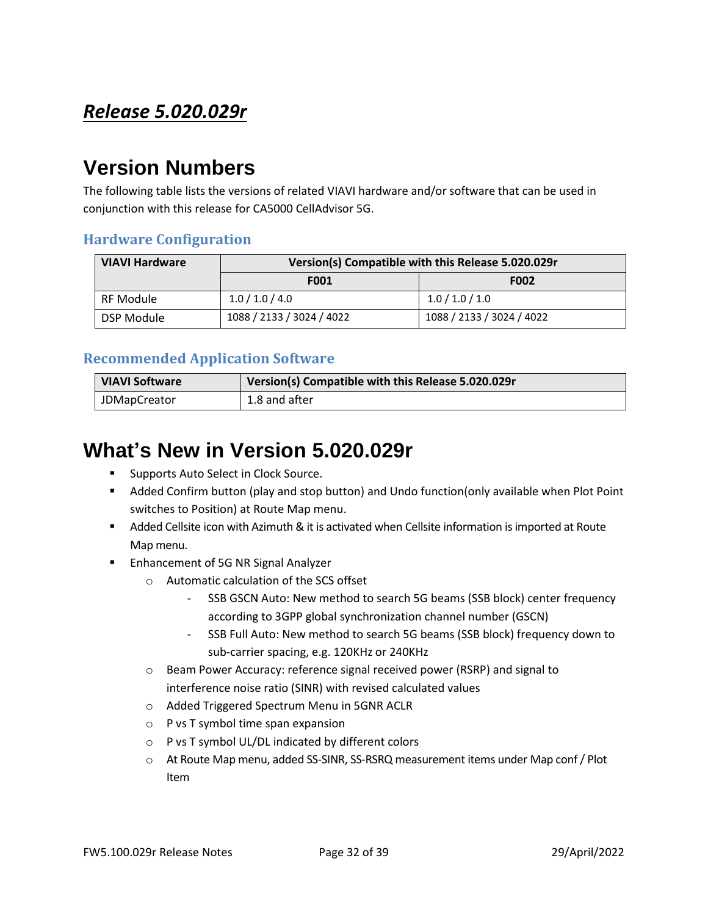### <span id="page-31-0"></span>*Release 5.020.029r*

### **Version Numbers**

The following table lists the versions of related VIAVI hardware and/or software that can be used in conjunction with this release for CA5000 CellAdvisor 5G.

#### **Hardware Configuration**

| <b>VIAVI Hardware</b> | Version(s) Compatible with this Release 5.020.029r |                           |  |
|-----------------------|----------------------------------------------------|---------------------------|--|
|                       | <b>F001</b>                                        | <b>F002</b>               |  |
| RF Module             | 1.0 / 1.0 / 4.0                                    | 1.0 / 1.0 / 1.0           |  |
| DSP Module            | 1088 / 2133 / 3024 / 4022                          | 1088 / 2133 / 3024 / 4022 |  |

#### **Recommended Application Software**

| <b>VIAVI Software</b> | Version(s) Compatible with this Release 5.020.029r |
|-----------------------|----------------------------------------------------|
| <b>JDMapCreator</b>   | 1.8 and after                                      |

## **What's New in Version 5.020.029r**

- Supports Auto Select in Clock Source.
- Added Confirm button (play and stop button) and Undo function(only available when Plot Point switches to Position) at Route Map menu.
- Added Cellsite icon with Azimuth & it is activated when Cellsite information is imported at Route Map menu.
- Enhancement of 5G NR Signal Analyzer
	- o Automatic calculation of the SCS offset
		- SSB GSCN Auto: New method to search 5G beams (SSB block) center frequency according to 3GPP global synchronization channel number (GSCN)
		- SSB Full Auto: New method to search 5G beams (SSB block) frequency down to sub-carrier spacing, e.g. 120KHz or 240KHz
	- o Beam Power Accuracy: reference signal received power (RSRP) and signal to interference noise ratio (SINR) with revised calculated values
	- o Added Triggered Spectrum Menu in 5GNR ACLR
	- o P vs T symbol time span expansion
	- o P vs T symbol UL/DL indicated by different colors
	- o At Route Map menu, added SS-SINR, SS-RSRQ measurement items under Map conf / Plot Item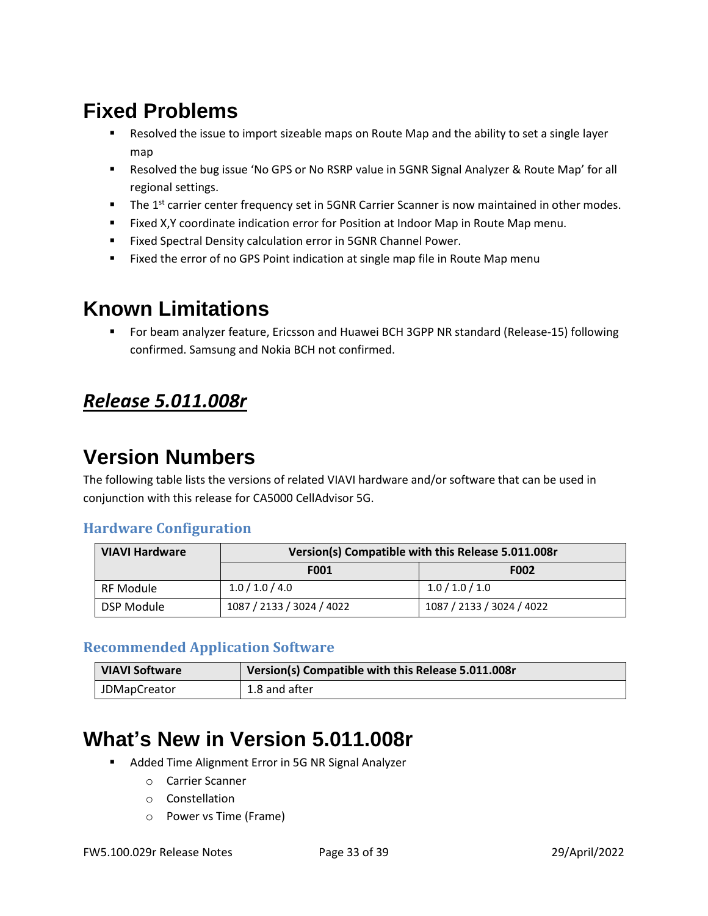- Resolved the issue to import sizeable maps on Route Map and the ability to set a single layer map
- Resolved the bug issue 'No GPS or No RSRP value in 5GNR Signal Analyzer & Route Map' for all regional settings.
- **•** The 1<sup>st</sup> carrier center frequency set in 5GNR Carrier Scanner is now maintained in other modes.
- Fixed X,Y coordinate indication error for Position at Indoor Map in Route Map menu.
- Fixed Spectral Density calculation error in 5GNR Channel Power.
- Fixed the error of no GPS Point indication at single map file in Route Map menu

### **Known Limitations**

▪ For beam analyzer feature, Ericsson and Huawei BCH 3GPP NR standard (Release-15) following confirmed. Samsung and Nokia BCH not confirmed.

### <span id="page-32-0"></span>*Release 5.011.008r*

## **Version Numbers**

The following table lists the versions of related VIAVI hardware and/or software that can be used in conjunction with this release for CA5000 CellAdvisor 5G.

#### **Hardware Configuration**

| <b>VIAVI Hardware</b> | Version(s) Compatible with this Release 5.011.008r |                           |  |
|-----------------------|----------------------------------------------------|---------------------------|--|
|                       | <b>F001</b>                                        | F002                      |  |
| RF Module             | 1.0 / 1.0 / 4.0                                    | 1.0 / 1.0 / 1.0           |  |
| DSP Module            | 1087 / 2133 / 3024 / 4022                          | 1087 / 2133 / 3024 / 4022 |  |

#### **Recommended Application Software**

| <b>VIAVI Software</b> | Version(s) Compatible with this Release 5.011.008r |
|-----------------------|----------------------------------------------------|
| <b>JDMapCreator</b>   | 1.8 and after                                      |

## **What's New in Version 5.011.008r**

- Added Time Alignment Error in 5G NR Signal Analyzer
	- o Carrier Scanner
	- o Constellation
	- o Power vs Time (Frame)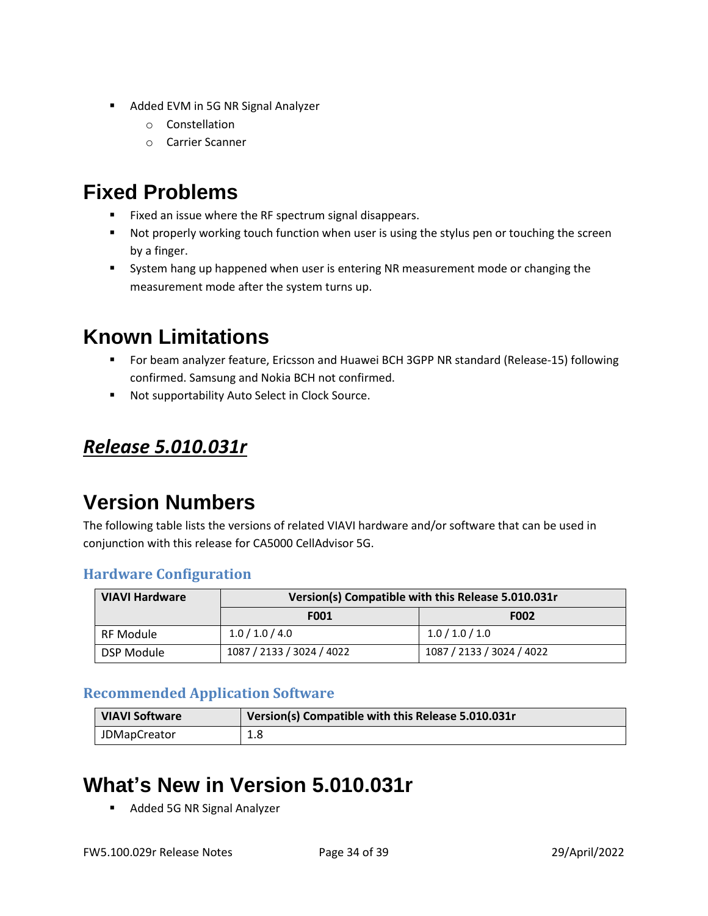- Added EVM in 5G NR Signal Analyzer
	- o Constellation
	- o Carrier Scanner

- Fixed an issue where the RF spectrum signal disappears.
- Not properly working touch function when user is using the stylus pen or touching the screen by a finger.
- **EXECT** System hang up happened when user is entering NR measurement mode or changing the measurement mode after the system turns up.

## **Known Limitations**

- For beam analyzer feature, Ericsson and Huawei BCH 3GPP NR standard (Release-15) following confirmed. Samsung and Nokia BCH not confirmed.
- Not supportability Auto Select in Clock Source.

### <span id="page-33-0"></span>*Release 5.010.031r*

# **Version Numbers**

The following table lists the versions of related VIAVI hardware and/or software that can be used in conjunction with this release for CA5000 CellAdvisor 5G.

#### **Hardware Configuration**

| <b>VIAVI Hardware</b> | Version(s) Compatible with this Release 5.010.031r |                           |
|-----------------------|----------------------------------------------------|---------------------------|
|                       | <b>F001</b>                                        | <b>F002</b>               |
| RF Module             | 1.0 / 1.0 / 4.0                                    | 1.0 / 1.0 / 1.0           |
| DSP Module            | 1087 / 2133 / 3024 / 4022                          | 1087 / 2133 / 3024 / 4022 |

#### **Recommended Application Software**

| <b>VIAVI Software</b> | Version(s) Compatible with this Release 5.010.031r |
|-----------------------|----------------------------------------------------|
| <b>JDMapCreator</b>   | 1.8                                                |

# **What's New in Version 5.010.031r**

Added 5G NR Signal Analyzer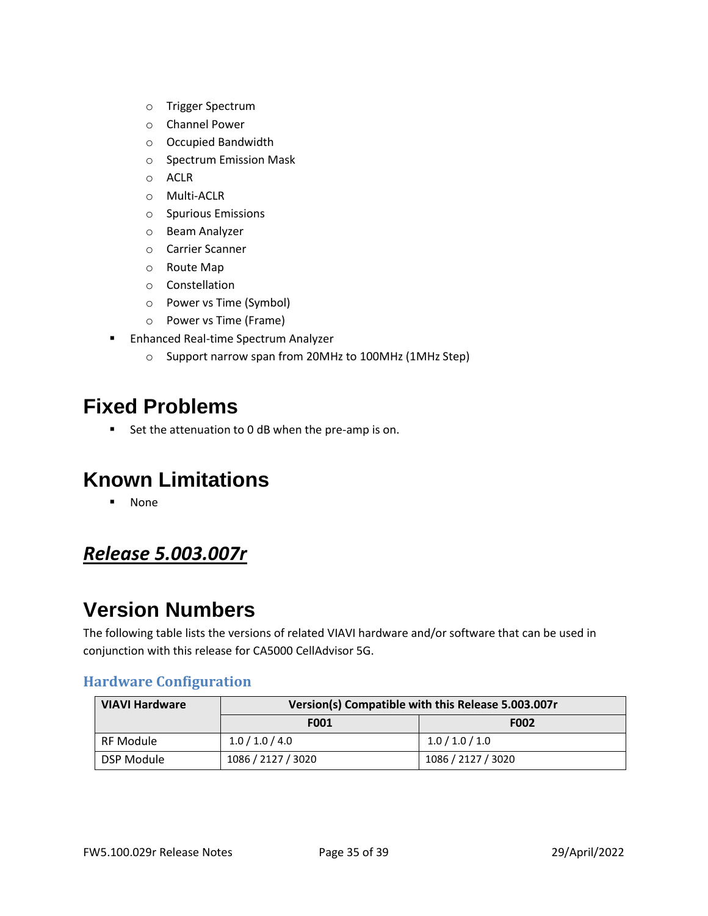- o Trigger Spectrum
- o Channel Power
- o Occupied Bandwidth
- o Spectrum Emission Mask
- o ACLR
- o Multi-ACLR
- o Spurious Emissions
- o Beam Analyzer
- o Carrier Scanner
- o Route Map
- o Constellation
- o Power vs Time (Symbol)
- o Power vs Time (Frame)
- Enhanced Real-time Spectrum Analyzer
	- o Support narrow span from 20MHz to 100MHz (1MHz Step)

■ Set the attenuation to 0 dB when the pre-amp is on.

## **Known Limitations**

■ None

### <span id="page-34-0"></span>*Release 5.003.007r*

### **Version Numbers**

The following table lists the versions of related VIAVI hardware and/or software that can be used in conjunction with this release for CA5000 CellAdvisor 5G.

#### **Hardware Configuration**

| <b>VIAVI Hardware</b> | Version(s) Compatible with this Release 5.003.007r |                    |
|-----------------------|----------------------------------------------------|--------------------|
|                       | <b>F001</b>                                        | F002               |
| RF Module             | 1.0 / 1.0 / 4.0                                    | 1.0 / 1.0 / 1.0    |
| DSP Module            | 1086 / 2127 / 3020                                 | 1086 / 2127 / 3020 |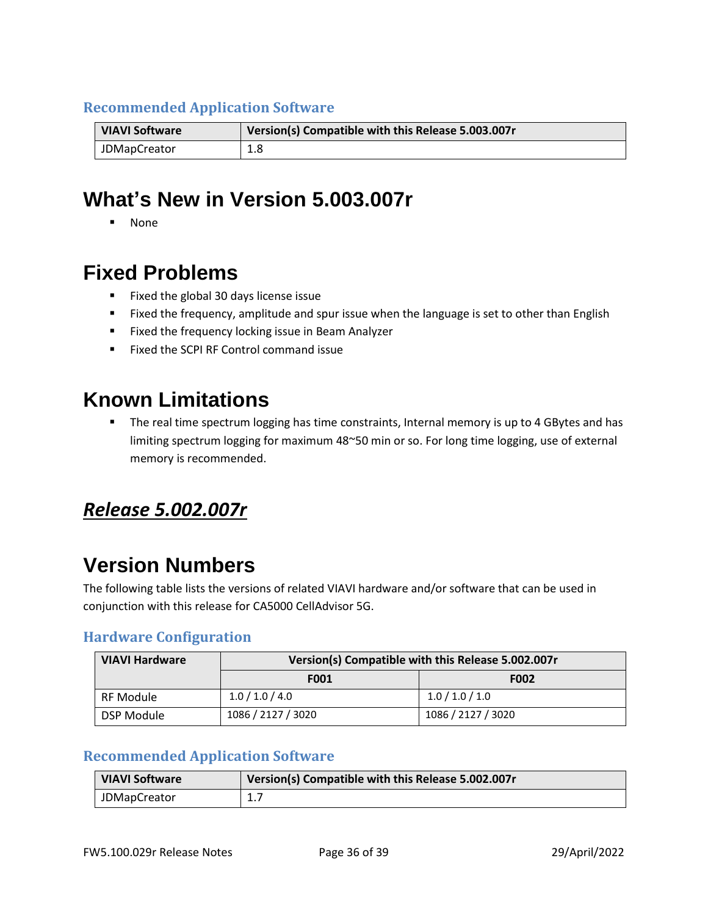#### **Recommended Application Software**

| <b>VIAVI Software</b> | Version(s) Compatible with this Release 5.003.007r |  |
|-----------------------|----------------------------------------------------|--|
| <b>JDMapCreator</b>   | 1.8                                                |  |

## **What's New in Version 5.003.007r**

▪ None

### **Fixed Problems**

- Fixed the global 30 days license issue
- Fixed the frequency, amplitude and spur issue when the language is set to other than English
- Fixed the frequency locking issue in Beam Analyzer
- Fixed the SCPI RF Control command issue

### **Known Limitations**

**•** The real time spectrum logging has time constraints, Internal memory is up to 4 GBytes and has limiting spectrum logging for maximum 48~50 min or so. For long time logging, use of external memory is recommended.

### <span id="page-35-0"></span>*Release 5.002.007r*

## **Version Numbers**

The following table lists the versions of related VIAVI hardware and/or software that can be used in conjunction with this release for CA5000 CellAdvisor 5G.

#### **Hardware Configuration**

| <b>VIAVI Hardware</b> | Version(s) Compatible with this Release 5.002.007r |                    |  |
|-----------------------|----------------------------------------------------|--------------------|--|
|                       | <b>F001</b>                                        | F002               |  |
| <b>RF Module</b>      | 1.0 / 1.0 / 4.0                                    | 1.0 / 1.0 / 1.0    |  |
| DSP Module            | 1086 / 2127 / 3020                                 | 1086 / 2127 / 3020 |  |

#### **Recommended Application Software**

| <b>VIAVI Software</b> | Version(s) Compatible with this Release 5.002.007r |
|-----------------------|----------------------------------------------------|
| JDMapCreator          | <b>1.7</b>                                         |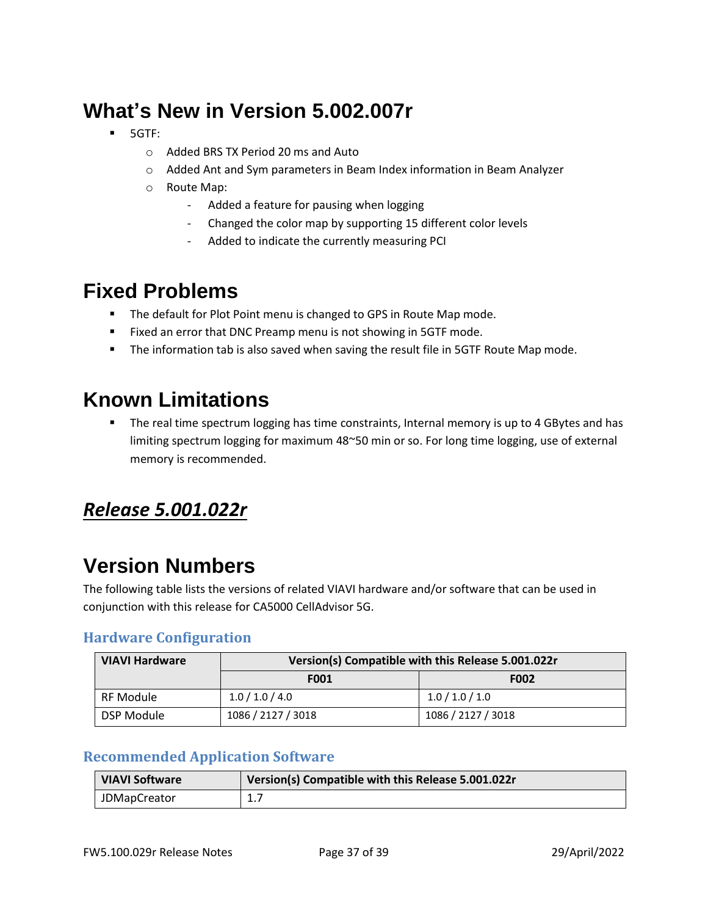# **What's New in Version 5.002.007r**

- 5GTF:
	- o Added BRS TX Period 20 ms and Auto
	- o Added Ant and Sym parameters in Beam Index information in Beam Analyzer
	- o Route Map:
		- Added a feature for pausing when logging
		- Changed the color map by supporting 15 different color levels
		- Added to indicate the currently measuring PCI

### **Fixed Problems**

- The default for Plot Point menu is changed to GPS in Route Map mode.
- Fixed an error that DNC Preamp menu is not showing in 5GTF mode.
- The information tab is also saved when saving the result file in 5GTF Route Map mode.

## **Known Limitations**

■ The real time spectrum logging has time constraints, Internal memory is up to 4 GBytes and has limiting spectrum logging for maximum 48~50 min or so. For long time logging, use of external memory is recommended.

### <span id="page-36-0"></span>*Release 5.001.022r*

# **Version Numbers**

The following table lists the versions of related VIAVI hardware and/or software that can be used in conjunction with this release for CA5000 CellAdvisor 5G.

#### **Hardware Configuration**

| <b>VIAVI Hardware</b> | Version(s) Compatible with this Release 5.001.022r |                    |  |
|-----------------------|----------------------------------------------------|--------------------|--|
|                       | <b>F001</b>                                        | <b>F002</b>        |  |
| RF Module             | 1.0 / 1.0 / 4.0                                    | 1.0 / 1.0 / 1.0    |  |
| DSP Module            | 1086 / 2127 / 3018                                 | 1086 / 2127 / 3018 |  |

#### **Recommended Application Software**

| <b>VIAVI Software</b> | Version(s) Compatible with this Release 5.001.022r |
|-----------------------|----------------------------------------------------|
| <b>JDMapCreator</b>   | <b>1.7</b>                                         |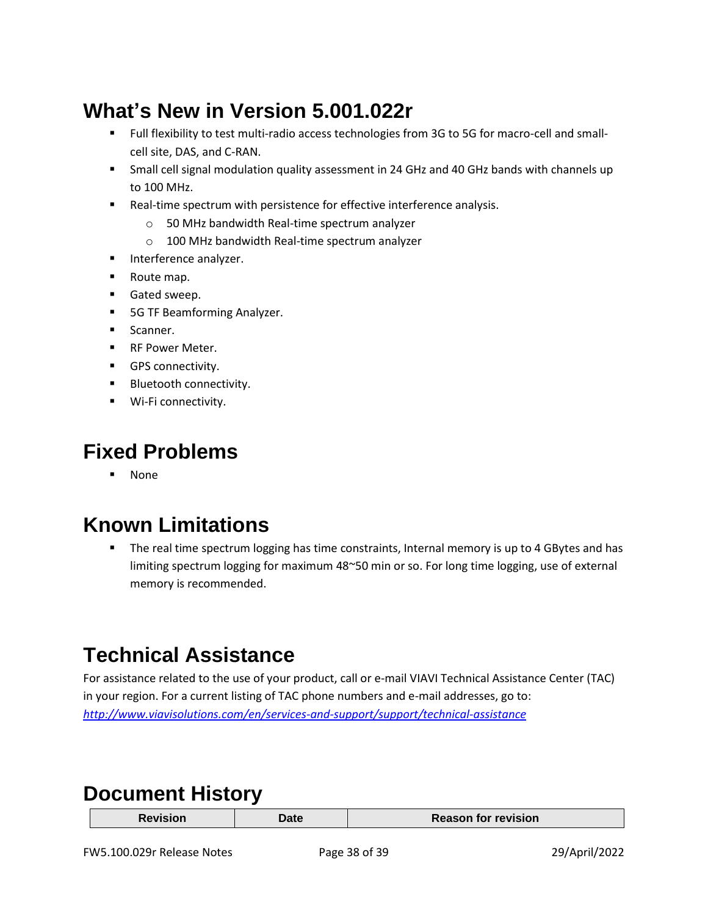# **What's New in Version 5.001.022r**

- Full flexibility to test multi-radio access technologies from 3G to 5G for macro-cell and smallcell site, DAS, and C-RAN.
- **EXECT** Small cell signal modulation quality assessment in 24 GHz and 40 GHz bands with channels up to 100 MHz.
- Real-time spectrum with persistence for effective interference analysis.
	- o 50 MHz bandwidth Real-time spectrum analyzer
	- o 100 MHz bandwidth Real-time spectrum analyzer
- Interference analyzer.
- Route map.
- Gated sweep.
- 5G TF Beamforming Analyzer.
- **■** Scanner.
- RF Power Meter.
- **■** GPS connectivity.
- Bluetooth connectivity.
- Wi-Fi connectivity.

### **Fixed Problems**

▪ None

# **Known Limitations**

The real time spectrum logging has time constraints, Internal memory is up to 4 GBytes and has limiting spectrum logging for maximum 48~50 min or so. For long time logging, use of external memory is recommended.

# <span id="page-37-0"></span>**Technical Assistance**

For assistance related to the use of your product, call or e-mail VIAVI Technical Assistance Center (TAC) in your region. For a current listing of TAC phone numbers and e-mail addresses, go to: *<http://www.viavisolutions.com/en/services-and-support/support/technical-assistance>*

### <span id="page-37-1"></span>**Document History**

| <b>Date</b> | <b>Reason for revision</b> |
|-------------|----------------------------|
|             |                            |